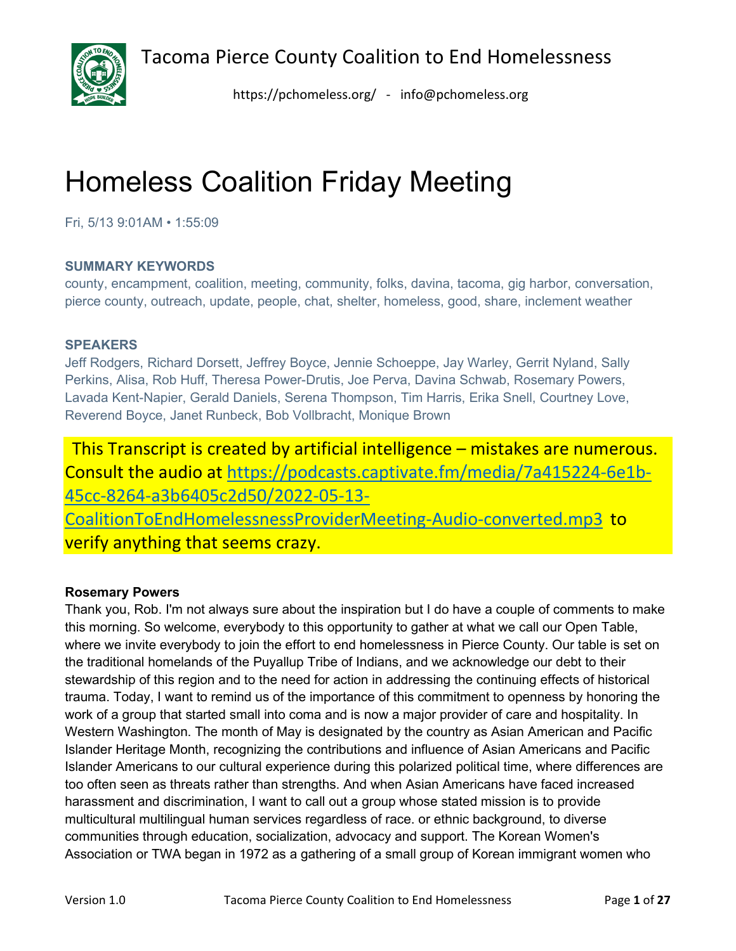

<https://pchomeless.org/> - info@pchomeless.org

# Homeless Coalition Friday Meeting

Fri, 5/13 9:01AM • 1:55:09

# **SUMMARY KEYWORDS**

county, encampment, coalition, meeting, community, folks, davina, tacoma, gig harbor, conversation, pierce county, outreach, update, people, chat, shelter, homeless, good, share, inclement weather

# **SPEAKERS**

Jeff Rodgers, Richard Dorsett, Jeffrey Boyce, Jennie Schoeppe, Jay Warley, Gerrit Nyland, Sally Perkins, Alisa, Rob Huff, Theresa Power-Drutis, Joe Perva, Davina Schwab, Rosemary Powers, Lavada Kent-Napier, Gerald Daniels, Serena Thompson, Tim Harris, Erika Snell, Courtney Love, Reverend Boyce, Janet Runbeck, Bob Vollbracht, Monique Brown

This Transcript is created by artificial intelligence – mistakes are numerous. Consult the audio at [https://podcasts.captivate.fm/media/7a415224-6e1b-](https://podcasts.captivate.fm/media/7a415224-6e1b-45cc-8264-a3b6405c2d50/2022-05-13-CoalitionToEndHomelessnessProviderMeeting-Audio-converted.mp3)[45cc-8264-a3b6405c2d50/2022-05-13-](https://podcasts.captivate.fm/media/7a415224-6e1b-45cc-8264-a3b6405c2d50/2022-05-13-CoalitionToEndHomelessnessProviderMeeting-Audio-converted.mp3) [CoalitionToEndHomelessnessProviderMeeting-Audio-converted.mp3](https://podcasts.captivate.fm/media/7a415224-6e1b-45cc-8264-a3b6405c2d50/2022-05-13-CoalitionToEndHomelessnessProviderMeeting-Audio-converted.mp3) to verify anything that seems crazy.

# **Rosemary Powers**

Thank you, Rob. I'm not always sure about the inspiration but I do have a couple of comments to make this morning. So welcome, everybody to this opportunity to gather at what we call our Open Table, where we invite everybody to join the effort to end homelessness in Pierce County. Our table is set on the traditional homelands of the Puyallup Tribe of Indians, and we acknowledge our debt to their stewardship of this region and to the need for action in addressing the continuing effects of historical trauma. Today, I want to remind us of the importance of this commitment to openness by honoring the work of a group that started small into coma and is now a major provider of care and hospitality. In Western Washington. The month of May is designated by the country as Asian American and Pacific Islander Heritage Month, recognizing the contributions and influence of Asian Americans and Pacific Islander Americans to our cultural experience during this polarized political time, where differences are too often seen as threats rather than strengths. And when Asian Americans have faced increased harassment and discrimination, I want to call out a group whose stated mission is to provide multicultural multilingual human services regardless of race. or ethnic background, to diverse communities through education, socialization, advocacy and support. The Korean Women's Association or TWA began in 1972 as a gathering of a small group of Korean immigrant women who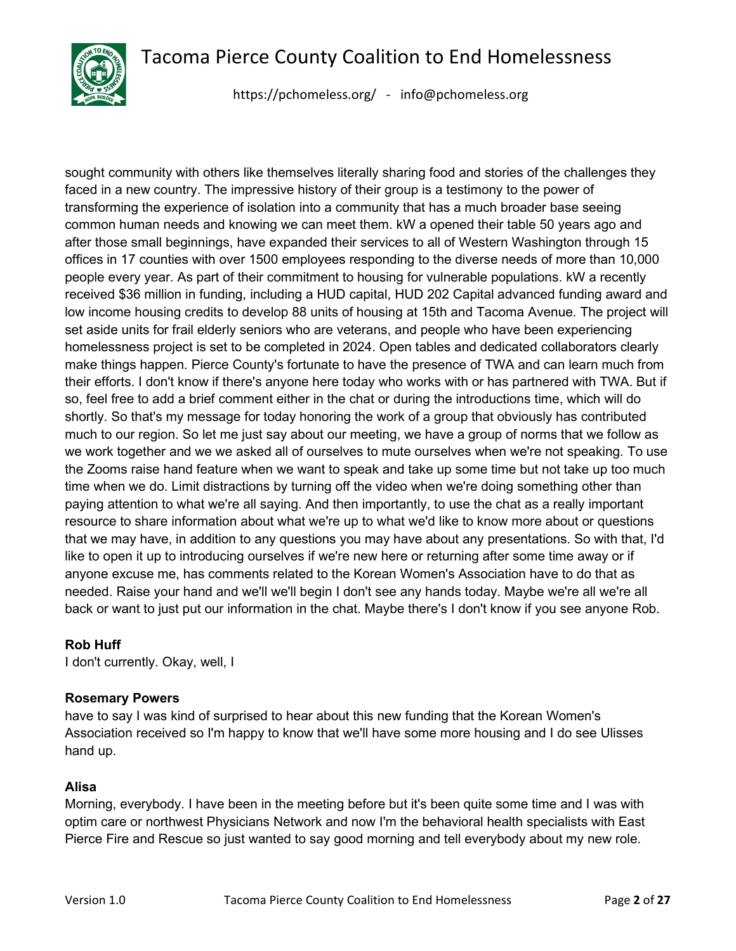

<https://pchomeless.org/> - info@pchomeless.org

sought community with others like themselves literally sharing food and stories of the challenges they faced in a new country. The impressive history of their group is a testimony to the power of transforming the experience of isolation into a community that has a much broader base seeing common human needs and knowing we can meet them. kW a opened their table 50 years ago and after those small beginnings, have expanded their services to all of Western Washington through 15 offices in 17 counties with over 1500 employees responding to the diverse needs of more than 10,000 people every year. As part of their commitment to housing for vulnerable populations. kW a recently received \$36 million in funding, including a HUD capital, HUD 202 Capital advanced funding award and low income housing credits to develop 88 units of housing at 15th and Tacoma Avenue. The project will set aside units for frail elderly seniors who are veterans, and people who have been experiencing homelessness project is set to be completed in 2024. Open tables and dedicated collaborators clearly make things happen. Pierce County's fortunate to have the presence of TWA and can learn much from their efforts. I don't know if there's anyone here today who works with or has partnered with TWA. But if so, feel free to add a brief comment either in the chat or during the introductions time, which will do shortly. So that's my message for today honoring the work of a group that obviously has contributed much to our region. So let me just say about our meeting, we have a group of norms that we follow as we work together and we we asked all of ourselves to mute ourselves when we're not speaking. To use the Zooms raise hand feature when we want to speak and take up some time but not take up too much time when we do. Limit distractions by turning off the video when we're doing something other than paying attention to what we're all saying. And then importantly, to use the chat as a really important resource to share information about what we're up to what we'd like to know more about or questions that we may have, in addition to any questions you may have about any presentations. So with that, I'd like to open it up to introducing ourselves if we're new here or returning after some time away or if anyone excuse me, has comments related to the Korean Women's Association have to do that as needed. Raise your hand and we'll we'll begin I don't see any hands today. Maybe we're all we're all back or want to just put our information in the chat. Maybe there's I don't know if you see anyone Rob.

#### **Rob Huff**

I don't currently. Okay, well, I

# **Rosemary Powers**

have to say I was kind of surprised to hear about this new funding that the Korean Women's Association received so I'm happy to know that we'll have some more housing and I do see Ulisses hand up.

# **Alisa**

Morning, everybody. I have been in the meeting before but it's been quite some time and I was with optim care or northwest Physicians Network and now I'm the behavioral health specialists with East Pierce Fire and Rescue so just wanted to say good morning and tell everybody about my new role.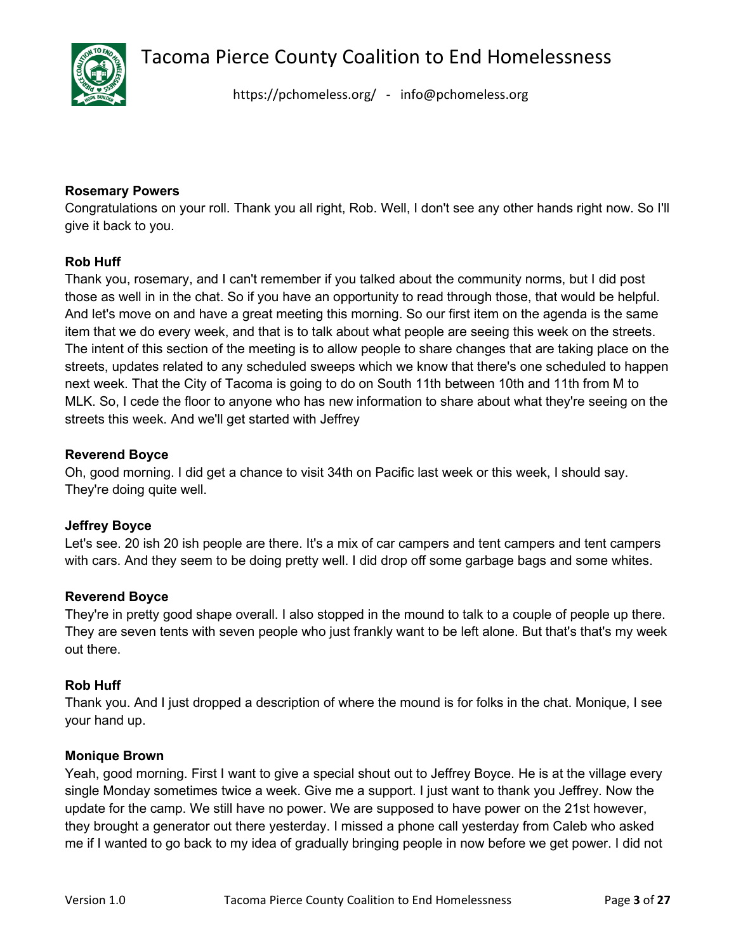

<https://pchomeless.org/> - info@pchomeless.org

#### **Rosemary Powers**

Congratulations on your roll. Thank you all right, Rob. Well, I don't see any other hands right now. So I'll give it back to you.

# **Rob Huff**

Thank you, rosemary, and I can't remember if you talked about the community norms, but I did post those as well in in the chat. So if you have an opportunity to read through those, that would be helpful. And let's move on and have a great meeting this morning. So our first item on the agenda is the same item that we do every week, and that is to talk about what people are seeing this week on the streets. The intent of this section of the meeting is to allow people to share changes that are taking place on the streets, updates related to any scheduled sweeps which we know that there's one scheduled to happen next week. That the City of Tacoma is going to do on South 11th between 10th and 11th from M to MLK. So, I cede the floor to anyone who has new information to share about what they're seeing on the streets this week. And we'll get started with Jeffrey

# **Reverend Boyce**

Oh, good morning. I did get a chance to visit 34th on Pacific last week or this week, I should say. They're doing quite well.

#### **Jeffrey Boyce**

Let's see. 20 ish 20 ish people are there. It's a mix of car campers and tent campers and tent campers with cars. And they seem to be doing pretty well. I did drop off some garbage bags and some whites.

#### **Reverend Boyce**

They're in pretty good shape overall. I also stopped in the mound to talk to a couple of people up there. They are seven tents with seven people who just frankly want to be left alone. But that's that's my week out there.

#### **Rob Huff**

Thank you. And I just dropped a description of where the mound is for folks in the chat. Monique, I see your hand up.

#### **Monique Brown**

Yeah, good morning. First I want to give a special shout out to Jeffrey Boyce. He is at the village every single Monday sometimes twice a week. Give me a support. I just want to thank you Jeffrey. Now the update for the camp. We still have no power. We are supposed to have power on the 21st however, they brought a generator out there yesterday. I missed a phone call yesterday from Caleb who asked me if I wanted to go back to my idea of gradually bringing people in now before we get power. I did not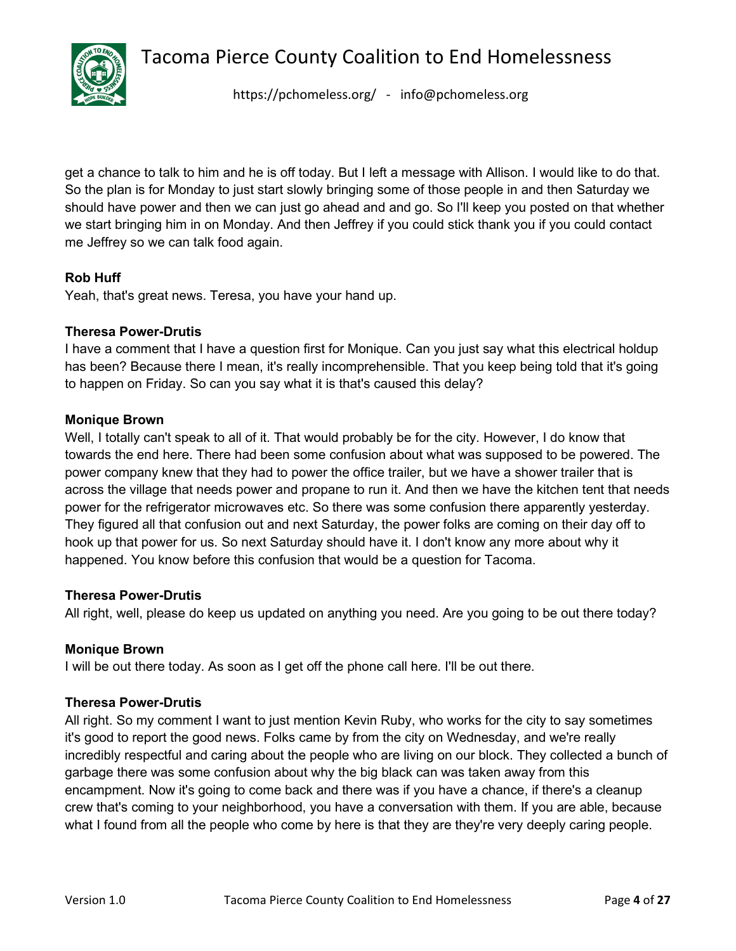

<https://pchomeless.org/> - info@pchomeless.org

get a chance to talk to him and he is off today. But I left a message with Allison. I would like to do that. So the plan is for Monday to just start slowly bringing some of those people in and then Saturday we should have power and then we can just go ahead and and go. So I'll keep you posted on that whether we start bringing him in on Monday. And then Jeffrey if you could stick thank you if you could contact me Jeffrey so we can talk food again.

# **Rob Huff**

Yeah, that's great news. Teresa, you have your hand up.

#### **Theresa Power-Drutis**

I have a comment that I have a question first for Monique. Can you just say what this electrical holdup has been? Because there I mean, it's really incomprehensible. That you keep being told that it's going to happen on Friday. So can you say what it is that's caused this delay?

#### **Monique Brown**

Well, I totally can't speak to all of it. That would probably be for the city. However, I do know that towards the end here. There had been some confusion about what was supposed to be powered. The power company knew that they had to power the office trailer, but we have a shower trailer that is across the village that needs power and propane to run it. And then we have the kitchen tent that needs power for the refrigerator microwaves etc. So there was some confusion there apparently yesterday. They figured all that confusion out and next Saturday, the power folks are coming on their day off to hook up that power for us. So next Saturday should have it. I don't know any more about why it happened. You know before this confusion that would be a question for Tacoma.

#### **Theresa Power-Drutis**

All right, well, please do keep us updated on anything you need. Are you going to be out there today?

#### **Monique Brown**

I will be out there today. As soon as I get off the phone call here. I'll be out there.

#### **Theresa Power-Drutis**

All right. So my comment I want to just mention Kevin Ruby, who works for the city to say sometimes it's good to report the good news. Folks came by from the city on Wednesday, and we're really incredibly respectful and caring about the people who are living on our block. They collected a bunch of garbage there was some confusion about why the big black can was taken away from this encampment. Now it's going to come back and there was if you have a chance, if there's a cleanup crew that's coming to your neighborhood, you have a conversation with them. If you are able, because what I found from all the people who come by here is that they are they're very deeply caring people.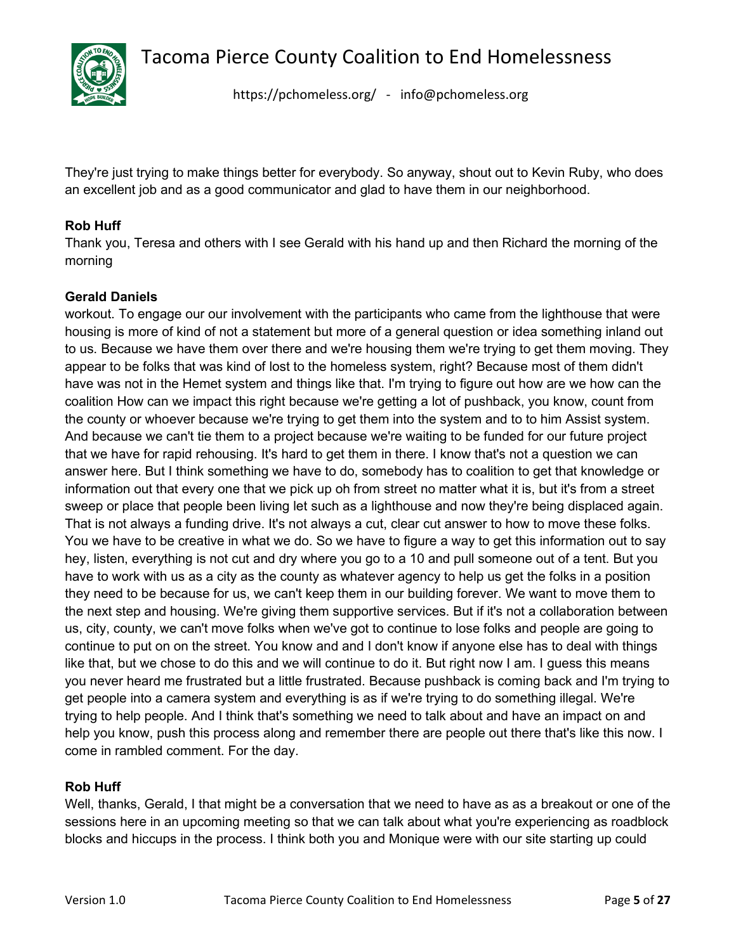

<https://pchomeless.org/> - info@pchomeless.org

They're just trying to make things better for everybody. So anyway, shout out to Kevin Ruby, who does an excellent job and as a good communicator and glad to have them in our neighborhood.

# **Rob Huff**

Thank you, Teresa and others with I see Gerald with his hand up and then Richard the morning of the morning

# **Gerald Daniels**

workout. To engage our our involvement with the participants who came from the lighthouse that were housing is more of kind of not a statement but more of a general question or idea something inland out to us. Because we have them over there and we're housing them we're trying to get them moving. They appear to be folks that was kind of lost to the homeless system, right? Because most of them didn't have was not in the Hemet system and things like that. I'm trying to figure out how are we how can the coalition How can we impact this right because we're getting a lot of pushback, you know, count from the county or whoever because we're trying to get them into the system and to to him Assist system. And because we can't tie them to a project because we're waiting to be funded for our future project that we have for rapid rehousing. It's hard to get them in there. I know that's not a question we can answer here. But I think something we have to do, somebody has to coalition to get that knowledge or information out that every one that we pick up oh from street no matter what it is, but it's from a street sweep or place that people been living let such as a lighthouse and now they're being displaced again. That is not always a funding drive. It's not always a cut, clear cut answer to how to move these folks. You we have to be creative in what we do. So we have to figure a way to get this information out to say hey, listen, everything is not cut and dry where you go to a 10 and pull someone out of a tent. But you have to work with us as a city as the county as whatever agency to help us get the folks in a position they need to be because for us, we can't keep them in our building forever. We want to move them to the next step and housing. We're giving them supportive services. But if it's not a collaboration between us, city, county, we can't move folks when we've got to continue to lose folks and people are going to continue to put on on the street. You know and and I don't know if anyone else has to deal with things like that, but we chose to do this and we will continue to do it. But right now I am. I guess this means you never heard me frustrated but a little frustrated. Because pushback is coming back and I'm trying to get people into a camera system and everything is as if we're trying to do something illegal. We're trying to help people. And I think that's something we need to talk about and have an impact on and help you know, push this process along and remember there are people out there that's like this now. I come in rambled comment. For the day.

#### **Rob Huff**

Well, thanks, Gerald, I that might be a conversation that we need to have as as a breakout or one of the sessions here in an upcoming meeting so that we can talk about what you're experiencing as roadblock blocks and hiccups in the process. I think both you and Monique were with our site starting up could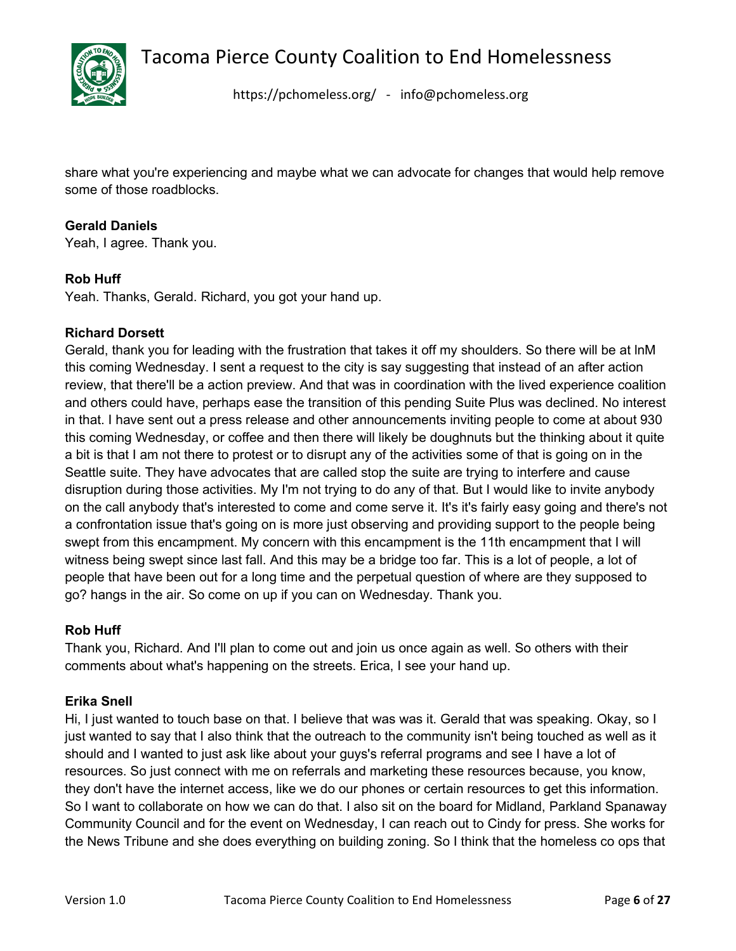

<https://pchomeless.org/> - info@pchomeless.org

share what you're experiencing and maybe what we can advocate for changes that would help remove some of those roadblocks.

#### **Gerald Daniels**

Yeah, I agree. Thank you.

#### **Rob Huff**

Yeah. Thanks, Gerald. Richard, you got your hand up.

#### **Richard Dorsett**

Gerald, thank you for leading with the frustration that takes it off my shoulders. So there will be at lnM this coming Wednesday. I sent a request to the city is say suggesting that instead of an after action review, that there'll be a action preview. And that was in coordination with the lived experience coalition and others could have, perhaps ease the transition of this pending Suite Plus was declined. No interest in that. I have sent out a press release and other announcements inviting people to come at about 930 this coming Wednesday, or coffee and then there will likely be doughnuts but the thinking about it quite a bit is that I am not there to protest or to disrupt any of the activities some of that is going on in the Seattle suite. They have advocates that are called stop the suite are trying to interfere and cause disruption during those activities. My I'm not trying to do any of that. But I would like to invite anybody on the call anybody that's interested to come and come serve it. It's it's fairly easy going and there's not a confrontation issue that's going on is more just observing and providing support to the people being swept from this encampment. My concern with this encampment is the 11th encampment that I will witness being swept since last fall. And this may be a bridge too far. This is a lot of people, a lot of people that have been out for a long time and the perpetual question of where are they supposed to go? hangs in the air. So come on up if you can on Wednesday. Thank you.

#### **Rob Huff**

Thank you, Richard. And I'll plan to come out and join us once again as well. So others with their comments about what's happening on the streets. Erica, I see your hand up.

#### **Erika Snell**

Hi, I just wanted to touch base on that. I believe that was was it. Gerald that was speaking. Okay, so I just wanted to say that I also think that the outreach to the community isn't being touched as well as it should and I wanted to just ask like about your guys's referral programs and see I have a lot of resources. So just connect with me on referrals and marketing these resources because, you know, they don't have the internet access, like we do our phones or certain resources to get this information. So I want to collaborate on how we can do that. I also sit on the board for Midland, Parkland Spanaway Community Council and for the event on Wednesday, I can reach out to Cindy for press. She works for the News Tribune and she does everything on building zoning. So I think that the homeless co ops that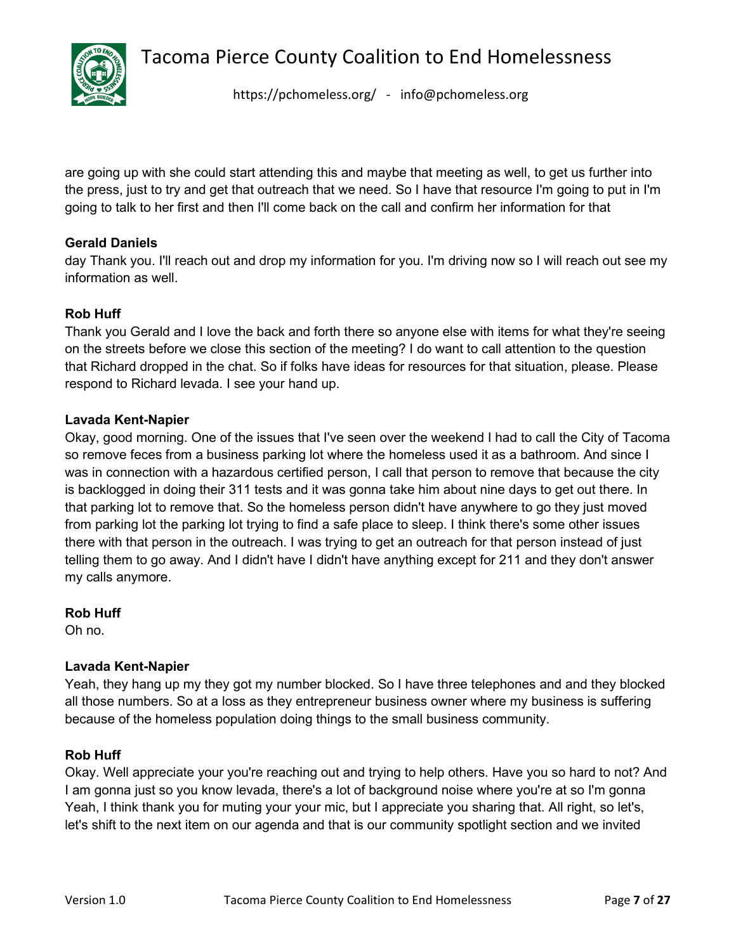

<https://pchomeless.org/> - info@pchomeless.org

are going up with she could start attending this and maybe that meeting as well, to get us further into the press, just to try and get that outreach that we need. So I have that resource I'm going to put in I'm going to talk to her first and then I'll come back on the call and confirm her information for that

# **Gerald Daniels**

day Thank you. I'll reach out and drop my information for you. I'm driving now so I will reach out see my information as well.

# **Rob Huff**

Thank you Gerald and I love the back and forth there so anyone else with items for what they're seeing on the streets before we close this section of the meeting? I do want to call attention to the question that Richard dropped in the chat. So if folks have ideas for resources for that situation, please. Please respond to Richard levada. I see your hand up.

#### **Lavada Kent-Napier**

Okay, good morning. One of the issues that I've seen over the weekend I had to call the City of Tacoma so remove feces from a business parking lot where the homeless used it as a bathroom. And since I was in connection with a hazardous certified person, I call that person to remove that because the city is backlogged in doing their 311 tests and it was gonna take him about nine days to get out there. In that parking lot to remove that. So the homeless person didn't have anywhere to go they just moved from parking lot the parking lot trying to find a safe place to sleep. I think there's some other issues there with that person in the outreach. I was trying to get an outreach for that person instead of just telling them to go away. And I didn't have I didn't have anything except for 211 and they don't answer my calls anymore.

**Rob Huff** 

Oh no.

#### **Lavada Kent-Napier**

Yeah, they hang up my they got my number blocked. So I have three telephones and and they blocked all those numbers. So at a loss as they entrepreneur business owner where my business is suffering because of the homeless population doing things to the small business community.

#### **Rob Huff**

Okay. Well appreciate your you're reaching out and trying to help others. Have you so hard to not? And I am gonna just so you know levada, there's a lot of background noise where you're at so I'm gonna Yeah, I think thank you for muting your your mic, but I appreciate you sharing that. All right, so let's, let's shift to the next item on our agenda and that is our community spotlight section and we invited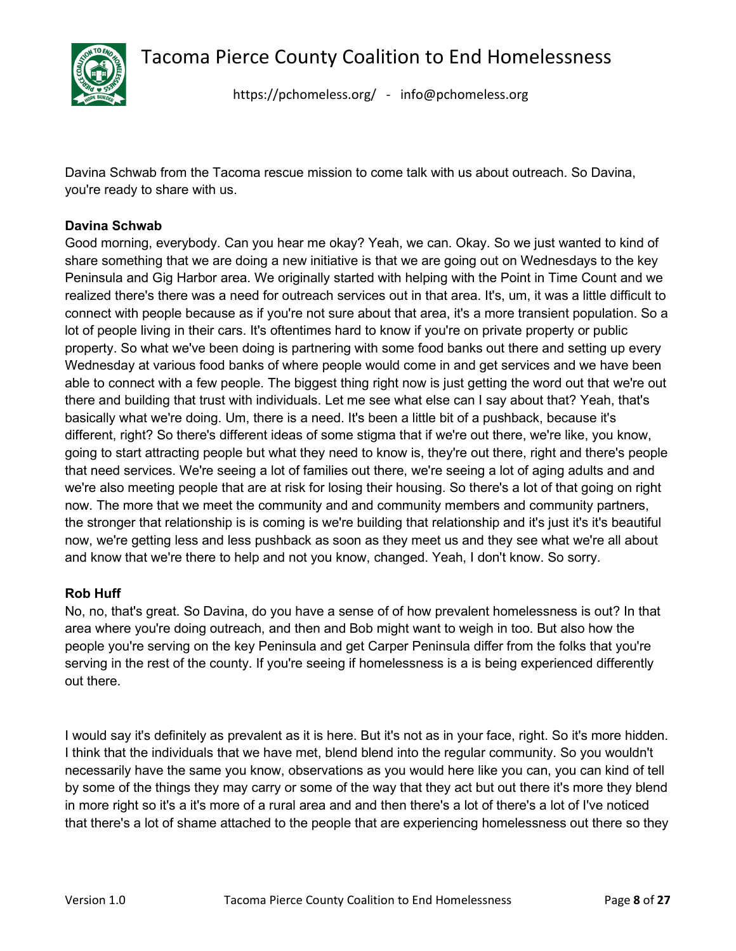

<https://pchomeless.org/> - info@pchomeless.org

Davina Schwab from the Tacoma rescue mission to come talk with us about outreach. So Davina, you're ready to share with us.

# **Davina Schwab**

Good morning, everybody. Can you hear me okay? Yeah, we can. Okay. So we just wanted to kind of share something that we are doing a new initiative is that we are going out on Wednesdays to the key Peninsula and Gig Harbor area. We originally started with helping with the Point in Time Count and we realized there's there was a need for outreach services out in that area. It's, um, it was a little difficult to connect with people because as if you're not sure about that area, it's a more transient population. So a lot of people living in their cars. It's oftentimes hard to know if you're on private property or public property. So what we've been doing is partnering with some food banks out there and setting up every Wednesday at various food banks of where people would come in and get services and we have been able to connect with a few people. The biggest thing right now is just getting the word out that we're out there and building that trust with individuals. Let me see what else can I say about that? Yeah, that's basically what we're doing. Um, there is a need. It's been a little bit of a pushback, because it's different, right? So there's different ideas of some stigma that if we're out there, we're like, you know, going to start attracting people but what they need to know is, they're out there, right and there's people that need services. We're seeing a lot of families out there, we're seeing a lot of aging adults and and we're also meeting people that are at risk for losing their housing. So there's a lot of that going on right now. The more that we meet the community and and community members and community partners, the stronger that relationship is is coming is we're building that relationship and it's just it's it's beautiful now, we're getting less and less pushback as soon as they meet us and they see what we're all about and know that we're there to help and not you know, changed. Yeah, I don't know. So sorry.

#### **Rob Huff**

No, no, that's great. So Davina, do you have a sense of of how prevalent homelessness is out? In that area where you're doing outreach, and then and Bob might want to weigh in too. But also how the people you're serving on the key Peninsula and get Carper Peninsula differ from the folks that you're serving in the rest of the county. If you're seeing if homelessness is a is being experienced differently out there.

I would say it's definitely as prevalent as it is here. But it's not as in your face, right. So it's more hidden. I think that the individuals that we have met, blend blend into the regular community. So you wouldn't necessarily have the same you know, observations as you would here like you can, you can kind of tell by some of the things they may carry or some of the way that they act but out there it's more they blend in more right so it's a it's more of a rural area and and then there's a lot of there's a lot of I've noticed that there's a lot of shame attached to the people that are experiencing homelessness out there so they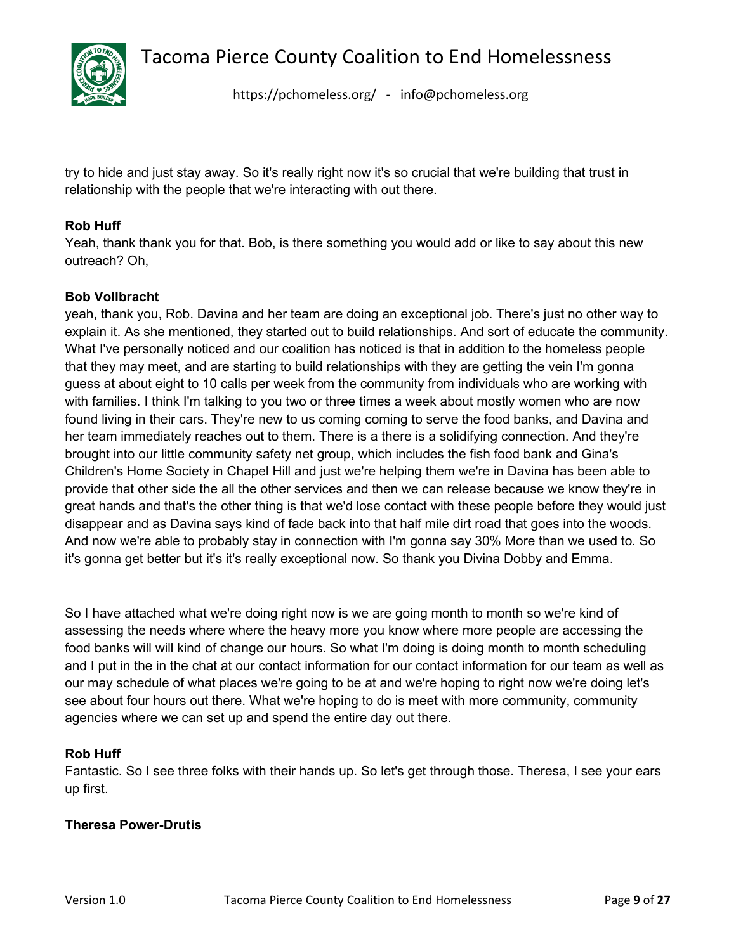

<https://pchomeless.org/> - info@pchomeless.org

try to hide and just stay away. So it's really right now it's so crucial that we're building that trust in relationship with the people that we're interacting with out there.

# **Rob Huff**

Yeah, thank thank you for that. Bob, is there something you would add or like to say about this new outreach? Oh,

# **Bob Vollbracht**

yeah, thank you, Rob. Davina and her team are doing an exceptional job. There's just no other way to explain it. As she mentioned, they started out to build relationships. And sort of educate the community. What I've personally noticed and our coalition has noticed is that in addition to the homeless people that they may meet, and are starting to build relationships with they are getting the vein I'm gonna guess at about eight to 10 calls per week from the community from individuals who are working with with families. I think I'm talking to you two or three times a week about mostly women who are now found living in their cars. They're new to us coming coming to serve the food banks, and Davina and her team immediately reaches out to them. There is a there is a solidifying connection. And they're brought into our little community safety net group, which includes the fish food bank and Gina's Children's Home Society in Chapel Hill and just we're helping them we're in Davina has been able to provide that other side the all the other services and then we can release because we know they're in great hands and that's the other thing is that we'd lose contact with these people before they would just disappear and as Davina says kind of fade back into that half mile dirt road that goes into the woods. And now we're able to probably stay in connection with I'm gonna say 30% More than we used to. So it's gonna get better but it's it's really exceptional now. So thank you Divina Dobby and Emma.

So I have attached what we're doing right now is we are going month to month so we're kind of assessing the needs where where the heavy more you know where more people are accessing the food banks will will kind of change our hours. So what I'm doing is doing month to month scheduling and I put in the in the chat at our contact information for our contact information for our team as well as our may schedule of what places we're going to be at and we're hoping to right now we're doing let's see about four hours out there. What we're hoping to do is meet with more community, community agencies where we can set up and spend the entire day out there.

#### **Rob Huff**

Fantastic. So I see three folks with their hands up. So let's get through those. Theresa, I see your ears up first.

#### **Theresa Power-Drutis**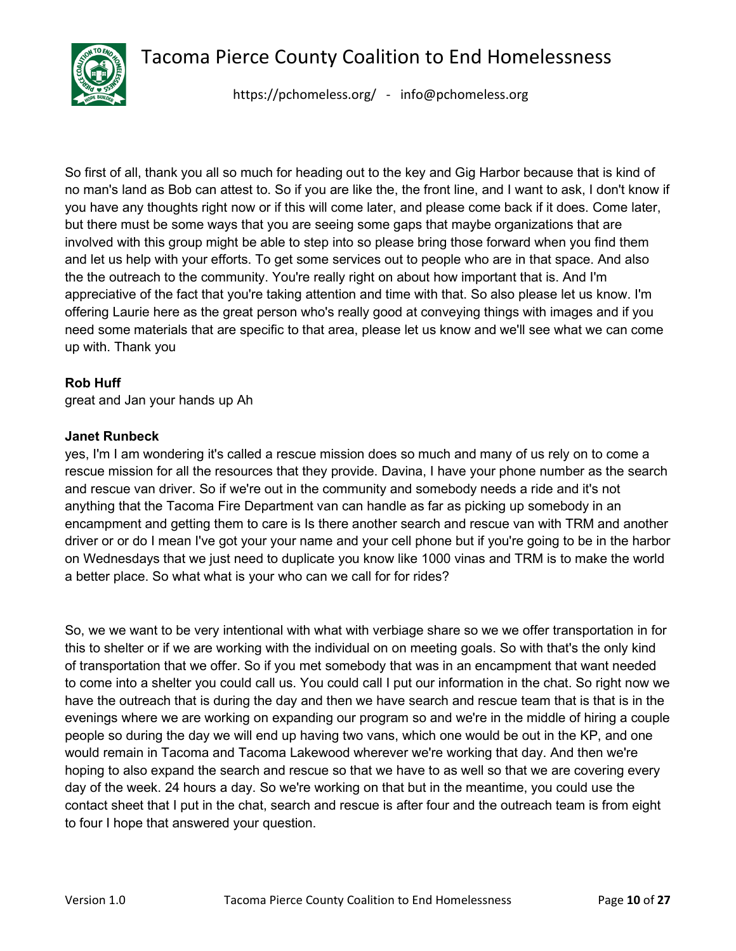

<https://pchomeless.org/> - info@pchomeless.org

So first of all, thank you all so much for heading out to the key and Gig Harbor because that is kind of no man's land as Bob can attest to. So if you are like the, the front line, and I want to ask, I don't know if you have any thoughts right now or if this will come later, and please come back if it does. Come later, but there must be some ways that you are seeing some gaps that maybe organizations that are involved with this group might be able to step into so please bring those forward when you find them and let us help with your efforts. To get some services out to people who are in that space. And also the the outreach to the community. You're really right on about how important that is. And I'm appreciative of the fact that you're taking attention and time with that. So also please let us know. I'm offering Laurie here as the great person who's really good at conveying things with images and if you need some materials that are specific to that area, please let us know and we'll see what we can come up with. Thank you

#### **Rob Huff**

great and Jan your hands up Ah

#### **Janet Runbeck**

yes, I'm I am wondering it's called a rescue mission does so much and many of us rely on to come a rescue mission for all the resources that they provide. Davina, I have your phone number as the search and rescue van driver. So if we're out in the community and somebody needs a ride and it's not anything that the Tacoma Fire Department van can handle as far as picking up somebody in an encampment and getting them to care is Is there another search and rescue van with TRM and another driver or or do I mean I've got your your name and your cell phone but if you're going to be in the harbor on Wednesdays that we just need to duplicate you know like 1000 vinas and TRM is to make the world a better place. So what what is your who can we call for for rides?

So, we we want to be very intentional with what with verbiage share so we we offer transportation in for this to shelter or if we are working with the individual on on meeting goals. So with that's the only kind of transportation that we offer. So if you met somebody that was in an encampment that want needed to come into a shelter you could call us. You could call I put our information in the chat. So right now we have the outreach that is during the day and then we have search and rescue team that is that is in the evenings where we are working on expanding our program so and we're in the middle of hiring a couple people so during the day we will end up having two vans, which one would be out in the KP, and one would remain in Tacoma and Tacoma Lakewood wherever we're working that day. And then we're hoping to also expand the search and rescue so that we have to as well so that we are covering every day of the week. 24 hours a day. So we're working on that but in the meantime, you could use the contact sheet that I put in the chat, search and rescue is after four and the outreach team is from eight to four I hope that answered your question.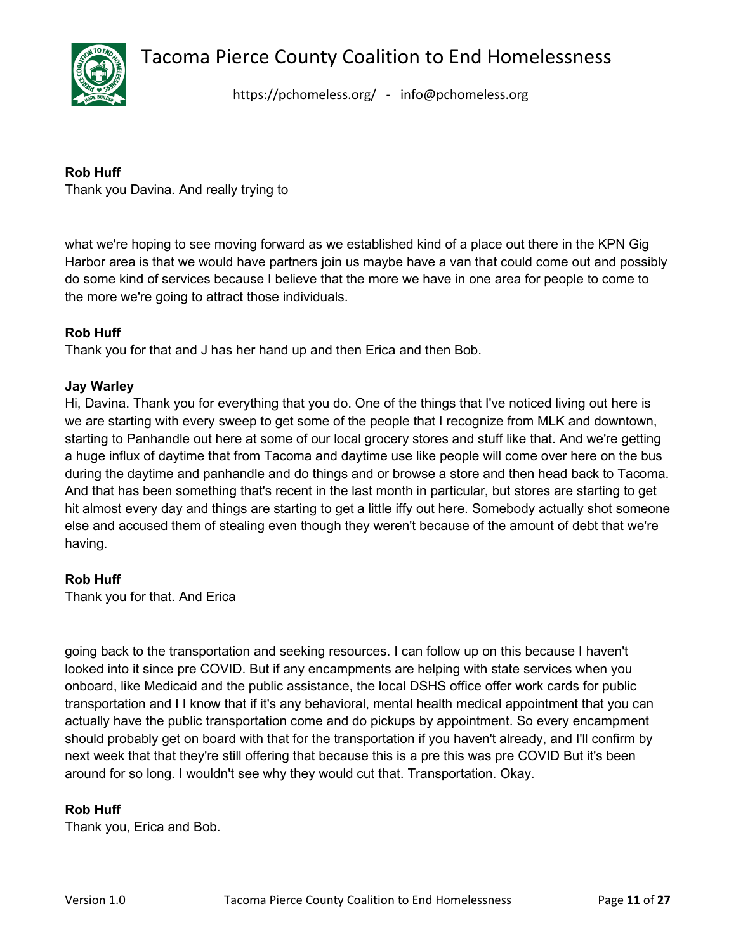

<https://pchomeless.org/> - info@pchomeless.org

# **Rob Huff**

Thank you Davina. And really trying to

what we're hoping to see moving forward as we established kind of a place out there in the KPN Gig Harbor area is that we would have partners join us maybe have a van that could come out and possibly do some kind of services because I believe that the more we have in one area for people to come to the more we're going to attract those individuals.

# **Rob Huff**

Thank you for that and J has her hand up and then Erica and then Bob.

# **Jay Warley**

Hi, Davina. Thank you for everything that you do. One of the things that I've noticed living out here is we are starting with every sweep to get some of the people that I recognize from MLK and downtown, starting to Panhandle out here at some of our local grocery stores and stuff like that. And we're getting a huge influx of daytime that from Tacoma and daytime use like people will come over here on the bus during the daytime and panhandle and do things and or browse a store and then head back to Tacoma. And that has been something that's recent in the last month in particular, but stores are starting to get hit almost every day and things are starting to get a little iffy out here. Somebody actually shot someone else and accused them of stealing even though they weren't because of the amount of debt that we're having.

# **Rob Huff**

Thank you for that. And Erica

going back to the transportation and seeking resources. I can follow up on this because I haven't looked into it since pre COVID. But if any encampments are helping with state services when you onboard, like Medicaid and the public assistance, the local DSHS office offer work cards for public transportation and I I know that if it's any behavioral, mental health medical appointment that you can actually have the public transportation come and do pickups by appointment. So every encampment should probably get on board with that for the transportation if you haven't already, and I'll confirm by next week that that they're still offering that because this is a pre this was pre COVID But it's been around for so long. I wouldn't see why they would cut that. Transportation. Okay.

# **Rob Huff**

Thank you, Erica and Bob.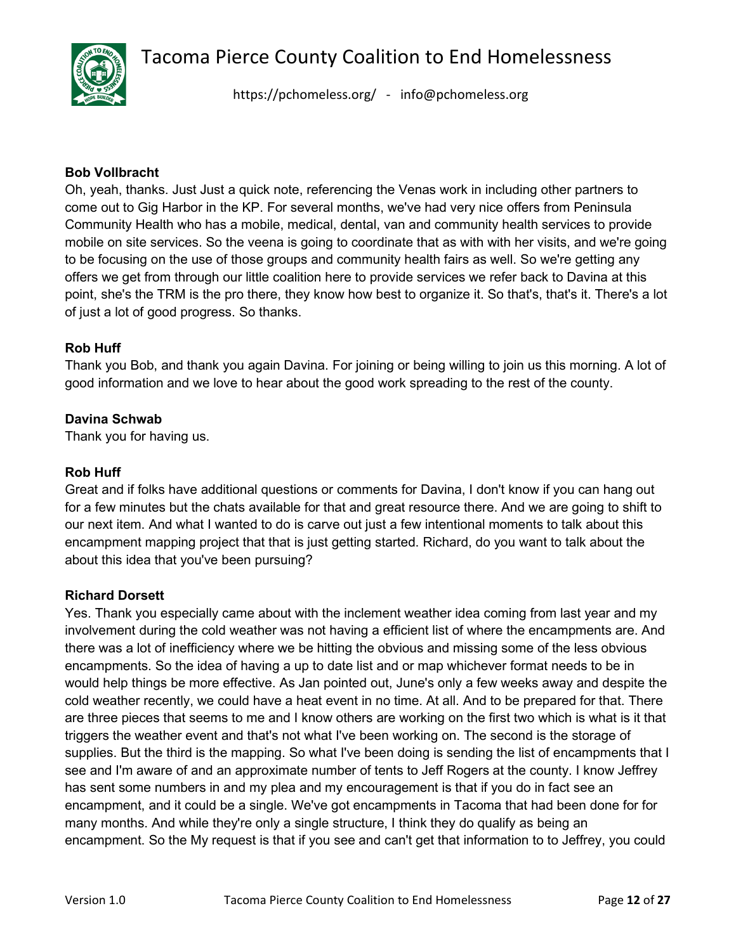

<https://pchomeless.org/> - info@pchomeless.org

#### **Bob Vollbracht**

Oh, yeah, thanks. Just Just a quick note, referencing the Venas work in including other partners to come out to Gig Harbor in the KP. For several months, we've had very nice offers from Peninsula Community Health who has a mobile, medical, dental, van and community health services to provide mobile on site services. So the veena is going to coordinate that as with with her visits, and we're going to be focusing on the use of those groups and community health fairs as well. So we're getting any offers we get from through our little coalition here to provide services we refer back to Davina at this point, she's the TRM is the pro there, they know how best to organize it. So that's, that's it. There's a lot of just a lot of good progress. So thanks.

#### **Rob Huff**

Thank you Bob, and thank you again Davina. For joining or being willing to join us this morning. A lot of good information and we love to hear about the good work spreading to the rest of the county.

# **Davina Schwab**

Thank you for having us.

#### **Rob Huff**

Great and if folks have additional questions or comments for Davina, I don't know if you can hang out for a few minutes but the chats available for that and great resource there. And we are going to shift to our next item. And what I wanted to do is carve out just a few intentional moments to talk about this encampment mapping project that that is just getting started. Richard, do you want to talk about the about this idea that you've been pursuing?

#### **Richard Dorsett**

Yes. Thank you especially came about with the inclement weather idea coming from last year and my involvement during the cold weather was not having a efficient list of where the encampments are. And there was a lot of inefficiency where we be hitting the obvious and missing some of the less obvious encampments. So the idea of having a up to date list and or map whichever format needs to be in would help things be more effective. As Jan pointed out, June's only a few weeks away and despite the cold weather recently, we could have a heat event in no time. At all. And to be prepared for that. There are three pieces that seems to me and I know others are working on the first two which is what is it that triggers the weather event and that's not what I've been working on. The second is the storage of supplies. But the third is the mapping. So what I've been doing is sending the list of encampments that I see and I'm aware of and an approximate number of tents to Jeff Rogers at the county. I know Jeffrey has sent some numbers in and my plea and my encouragement is that if you do in fact see an encampment, and it could be a single. We've got encampments in Tacoma that had been done for for many months. And while they're only a single structure, I think they do qualify as being an encampment. So the My request is that if you see and can't get that information to to Jeffrey, you could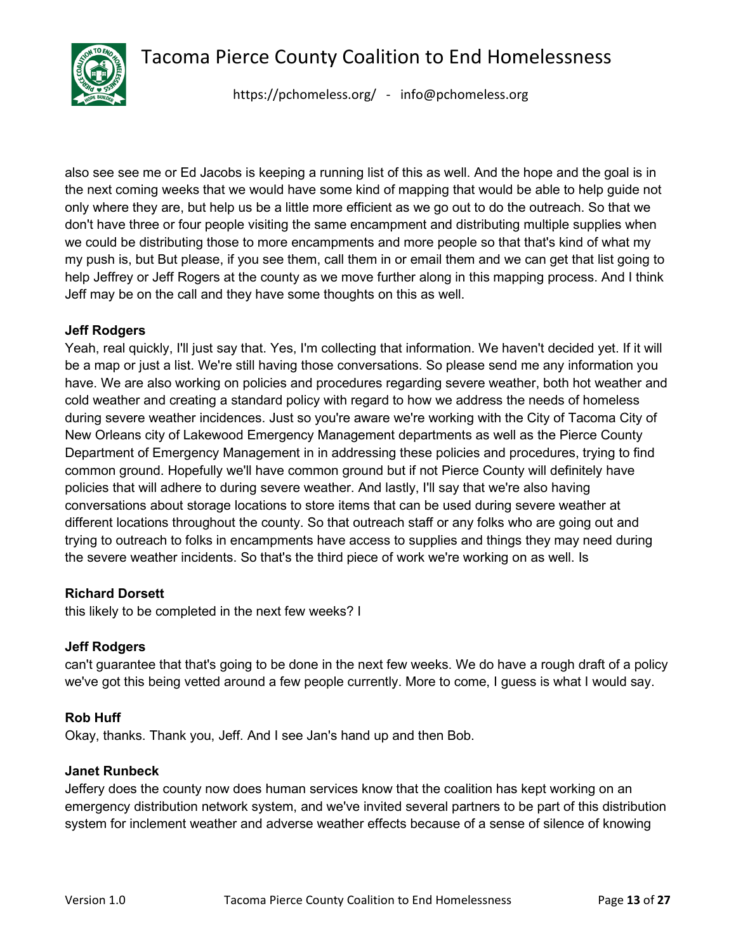

<https://pchomeless.org/> - info@pchomeless.org

also see see me or Ed Jacobs is keeping a running list of this as well. And the hope and the goal is in the next coming weeks that we would have some kind of mapping that would be able to help guide not only where they are, but help us be a little more efficient as we go out to do the outreach. So that we don't have three or four people visiting the same encampment and distributing multiple supplies when we could be distributing those to more encampments and more people so that that's kind of what my my push is, but But please, if you see them, call them in or email them and we can get that list going to help Jeffrey or Jeff Rogers at the county as we move further along in this mapping process. And I think Jeff may be on the call and they have some thoughts on this as well.

#### **Jeff Rodgers**

Yeah, real quickly, I'll just say that. Yes, I'm collecting that information. We haven't decided yet. If it will be a map or just a list. We're still having those conversations. So please send me any information you have. We are also working on policies and procedures regarding severe weather, both hot weather and cold weather and creating a standard policy with regard to how we address the needs of homeless during severe weather incidences. Just so you're aware we're working with the City of Tacoma City of New Orleans city of Lakewood Emergency Management departments as well as the Pierce County Department of Emergency Management in in addressing these policies and procedures, trying to find common ground. Hopefully we'll have common ground but if not Pierce County will definitely have policies that will adhere to during severe weather. And lastly, I'll say that we're also having conversations about storage locations to store items that can be used during severe weather at different locations throughout the county. So that outreach staff or any folks who are going out and trying to outreach to folks in encampments have access to supplies and things they may need during the severe weather incidents. So that's the third piece of work we're working on as well. Is

#### **Richard Dorsett**

this likely to be completed in the next few weeks? I

#### **Jeff Rodgers**

can't guarantee that that's going to be done in the next few weeks. We do have a rough draft of a policy we've got this being vetted around a few people currently. More to come, I guess is what I would say.

#### **Rob Huff**

Okay, thanks. Thank you, Jeff. And I see Jan's hand up and then Bob.

#### **Janet Runbeck**

Jeffery does the county now does human services know that the coalition has kept working on an emergency distribution network system, and we've invited several partners to be part of this distribution system for inclement weather and adverse weather effects because of a sense of silence of knowing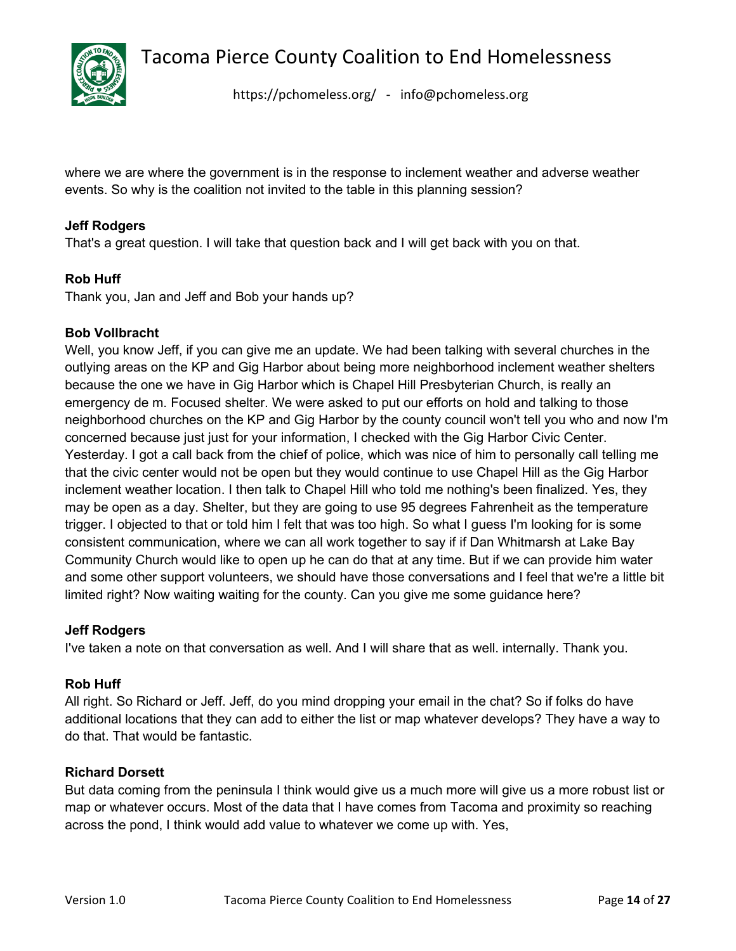

<https://pchomeless.org/> - info@pchomeless.org

where we are where the government is in the response to inclement weather and adverse weather events. So why is the coalition not invited to the table in this planning session?

# **Jeff Rodgers**

That's a great question. I will take that question back and I will get back with you on that.

# **Rob Huff**

Thank you, Jan and Jeff and Bob your hands up?

# **Bob Vollbracht**

Well, you know Jeff, if you can give me an update. We had been talking with several churches in the outlying areas on the KP and Gig Harbor about being more neighborhood inclement weather shelters because the one we have in Gig Harbor which is Chapel Hill Presbyterian Church, is really an emergency de m. Focused shelter. We were asked to put our efforts on hold and talking to those neighborhood churches on the KP and Gig Harbor by the county council won't tell you who and now I'm concerned because just just for your information, I checked with the Gig Harbor Civic Center. Yesterday. I got a call back from the chief of police, which was nice of him to personally call telling me that the civic center would not be open but they would continue to use Chapel Hill as the Gig Harbor inclement weather location. I then talk to Chapel Hill who told me nothing's been finalized. Yes, they may be open as a day. Shelter, but they are going to use 95 degrees Fahrenheit as the temperature trigger. I objected to that or told him I felt that was too high. So what I guess I'm looking for is some consistent communication, where we can all work together to say if if Dan Whitmarsh at Lake Bay Community Church would like to open up he can do that at any time. But if we can provide him water and some other support volunteers, we should have those conversations and I feel that we're a little bit limited right? Now waiting waiting for the county. Can you give me some guidance here?

#### **Jeff Rodgers**

I've taken a note on that conversation as well. And I will share that as well. internally. Thank you.

#### **Rob Huff**

All right. So Richard or Jeff. Jeff, do you mind dropping your email in the chat? So if folks do have additional locations that they can add to either the list or map whatever develops? They have a way to do that. That would be fantastic.

# **Richard Dorsett**

But data coming from the peninsula I think would give us a much more will give us a more robust list or map or whatever occurs. Most of the data that I have comes from Tacoma and proximity so reaching across the pond, I think would add value to whatever we come up with. Yes,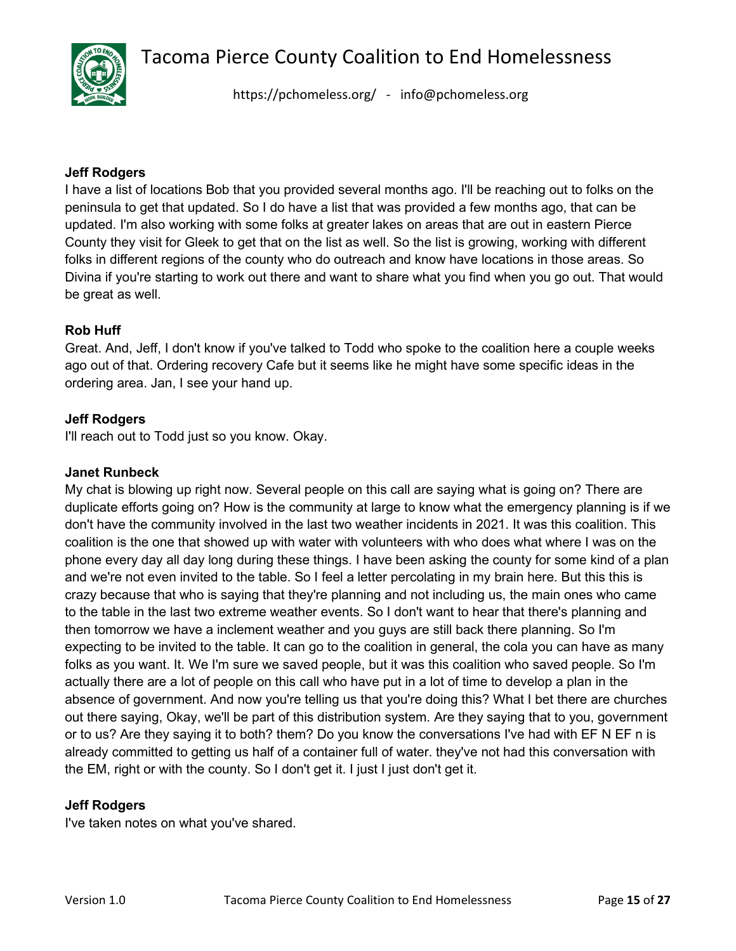

<https://pchomeless.org/> - info@pchomeless.org

#### **Jeff Rodgers**

I have a list of locations Bob that you provided several months ago. I'll be reaching out to folks on the peninsula to get that updated. So I do have a list that was provided a few months ago, that can be updated. I'm also working with some folks at greater lakes on areas that are out in eastern Pierce County they visit for Gleek to get that on the list as well. So the list is growing, working with different folks in different regions of the county who do outreach and know have locations in those areas. So Divina if you're starting to work out there and want to share what you find when you go out. That would be great as well.

# **Rob Huff**

Great. And, Jeff, I don't know if you've talked to Todd who spoke to the coalition here a couple weeks ago out of that. Ordering recovery Cafe but it seems like he might have some specific ideas in the ordering area. Jan, I see your hand up.

# **Jeff Rodgers**

I'll reach out to Todd just so you know. Okay.

#### **Janet Runbeck**

My chat is blowing up right now. Several people on this call are saying what is going on? There are duplicate efforts going on? How is the community at large to know what the emergency planning is if we don't have the community involved in the last two weather incidents in 2021. It was this coalition. This coalition is the one that showed up with water with volunteers with who does what where I was on the phone every day all day long during these things. I have been asking the county for some kind of a plan and we're not even invited to the table. So I feel a letter percolating in my brain here. But this this is crazy because that who is saying that they're planning and not including us, the main ones who came to the table in the last two extreme weather events. So I don't want to hear that there's planning and then tomorrow we have a inclement weather and you guys are still back there planning. So I'm expecting to be invited to the table. It can go to the coalition in general, the cola you can have as many folks as you want. It. We I'm sure we saved people, but it was this coalition who saved people. So I'm actually there are a lot of people on this call who have put in a lot of time to develop a plan in the absence of government. And now you're telling us that you're doing this? What I bet there are churches out there saying, Okay, we'll be part of this distribution system. Are they saying that to you, government or to us? Are they saying it to both? them? Do you know the conversations I've had with EF N EF n is already committed to getting us half of a container full of water. they've not had this conversation with the EM, right or with the county. So I don't get it. I just I just don't get it.

#### **Jeff Rodgers**

I've taken notes on what you've shared.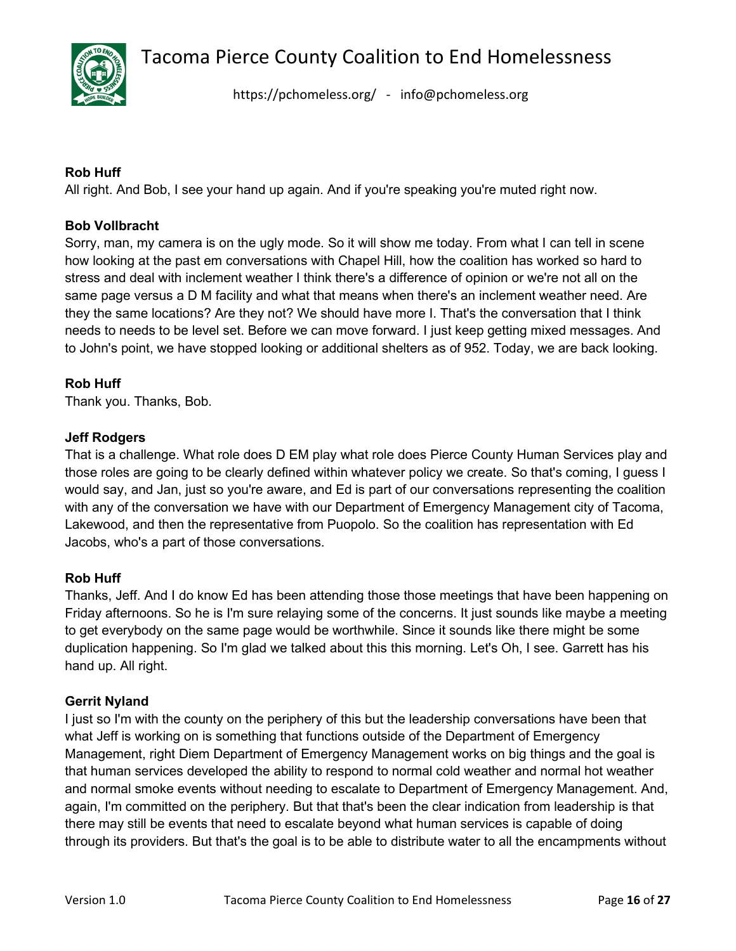

<https://pchomeless.org/> - info@pchomeless.org

# **Rob Huff**

All right. And Bob, I see your hand up again. And if you're speaking you're muted right now.

# **Bob Vollbracht**

Sorry, man, my camera is on the ugly mode. So it will show me today. From what I can tell in scene how looking at the past em conversations with Chapel Hill, how the coalition has worked so hard to stress and deal with inclement weather I think there's a difference of opinion or we're not all on the same page versus a D M facility and what that means when there's an inclement weather need. Are they the same locations? Are they not? We should have more I. That's the conversation that I think needs to needs to be level set. Before we can move forward. I just keep getting mixed messages. And to John's point, we have stopped looking or additional shelters as of 952. Today, we are back looking.

# **Rob Huff**

Thank you. Thanks, Bob.

#### **Jeff Rodgers**

That is a challenge. What role does D EM play what role does Pierce County Human Services play and those roles are going to be clearly defined within whatever policy we create. So that's coming, I guess I would say, and Jan, just so you're aware, and Ed is part of our conversations representing the coalition with any of the conversation we have with our Department of Emergency Management city of Tacoma, Lakewood, and then the representative from Puopolo. So the coalition has representation with Ed Jacobs, who's a part of those conversations.

#### **Rob Huff**

Thanks, Jeff. And I do know Ed has been attending those those meetings that have been happening on Friday afternoons. So he is I'm sure relaying some of the concerns. It just sounds like maybe a meeting to get everybody on the same page would be worthwhile. Since it sounds like there might be some duplication happening. So I'm glad we talked about this this morning. Let's Oh, I see. Garrett has his hand up. All right.

#### **Gerrit Nyland**

I just so I'm with the county on the periphery of this but the leadership conversations have been that what Jeff is working on is something that functions outside of the Department of Emergency Management, right Diem Department of Emergency Management works on big things and the goal is that human services developed the ability to respond to normal cold weather and normal hot weather and normal smoke events without needing to escalate to Department of Emergency Management. And, again, I'm committed on the periphery. But that that's been the clear indication from leadership is that there may still be events that need to escalate beyond what human services is capable of doing through its providers. But that's the goal is to be able to distribute water to all the encampments without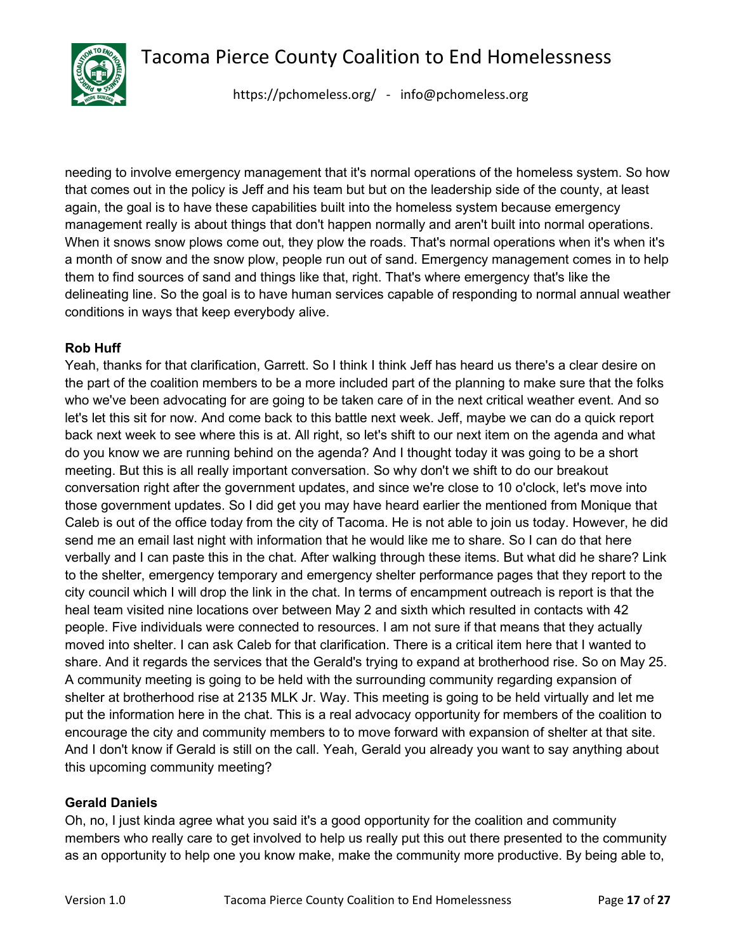

<https://pchomeless.org/> - info@pchomeless.org

needing to involve emergency management that it's normal operations of the homeless system. So how that comes out in the policy is Jeff and his team but but on the leadership side of the county, at least again, the goal is to have these capabilities built into the homeless system because emergency management really is about things that don't happen normally and aren't built into normal operations. When it snows snow plows come out, they plow the roads. That's normal operations when it's when it's a month of snow and the snow plow, people run out of sand. Emergency management comes in to help them to find sources of sand and things like that, right. That's where emergency that's like the delineating line. So the goal is to have human services capable of responding to normal annual weather conditions in ways that keep everybody alive.

# **Rob Huff**

Yeah, thanks for that clarification, Garrett. So I think I think Jeff has heard us there's a clear desire on the part of the coalition members to be a more included part of the planning to make sure that the folks who we've been advocating for are going to be taken care of in the next critical weather event. And so let's let this sit for now. And come back to this battle next week. Jeff, maybe we can do a quick report back next week to see where this is at. All right, so let's shift to our next item on the agenda and what do you know we are running behind on the agenda? And I thought today it was going to be a short meeting. But this is all really important conversation. So why don't we shift to do our breakout conversation right after the government updates, and since we're close to 10 o'clock, let's move into those government updates. So I did get you may have heard earlier the mentioned from Monique that Caleb is out of the office today from the city of Tacoma. He is not able to join us today. However, he did send me an email last night with information that he would like me to share. So I can do that here verbally and I can paste this in the chat. After walking through these items. But what did he share? Link to the shelter, emergency temporary and emergency shelter performance pages that they report to the city council which I will drop the link in the chat. In terms of encampment outreach is report is that the heal team visited nine locations over between May 2 and sixth which resulted in contacts with 42 people. Five individuals were connected to resources. I am not sure if that means that they actually moved into shelter. I can ask Caleb for that clarification. There is a critical item here that I wanted to share. And it regards the services that the Gerald's trying to expand at brotherhood rise. So on May 25. A community meeting is going to be held with the surrounding community regarding expansion of shelter at brotherhood rise at 2135 MLK Jr. Way. This meeting is going to be held virtually and let me put the information here in the chat. This is a real advocacy opportunity for members of the coalition to encourage the city and community members to to move forward with expansion of shelter at that site. And I don't know if Gerald is still on the call. Yeah, Gerald you already you want to say anything about this upcoming community meeting?

# **Gerald Daniels**

Oh, no, I just kinda agree what you said it's a good opportunity for the coalition and community members who really care to get involved to help us really put this out there presented to the community as an opportunity to help one you know make, make the community more productive. By being able to,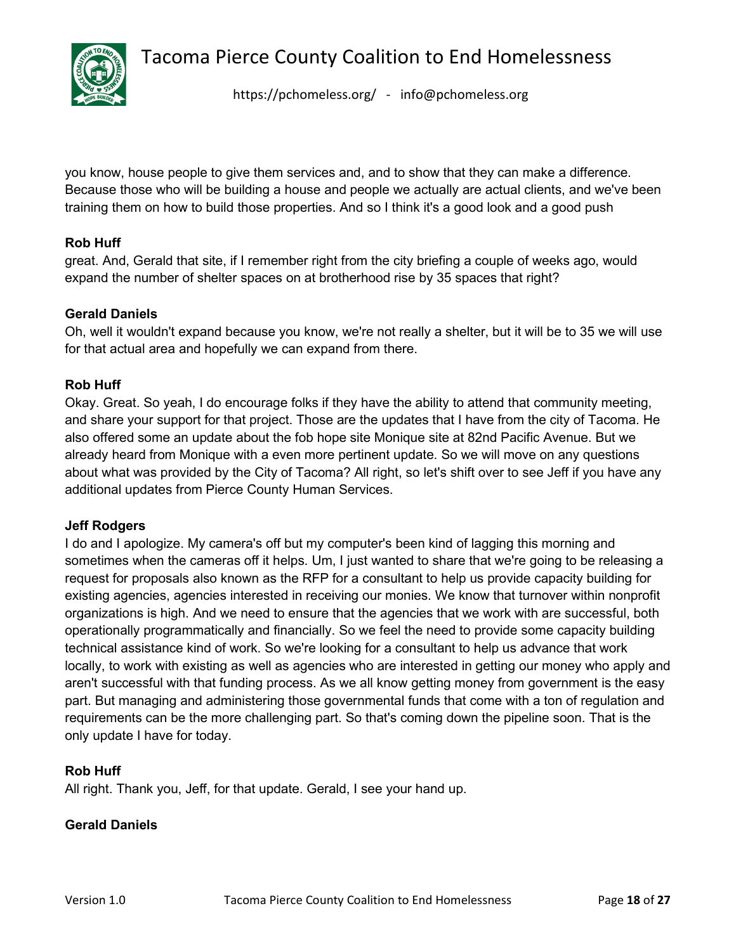

<https://pchomeless.org/> - info@pchomeless.org

you know, house people to give them services and, and to show that they can make a difference. Because those who will be building a house and people we actually are actual clients, and we've been training them on how to build those properties. And so I think it's a good look and a good push

# **Rob Huff**

great. And, Gerald that site, if I remember right from the city briefing a couple of weeks ago, would expand the number of shelter spaces on at brotherhood rise by 35 spaces that right?

# **Gerald Daniels**

Oh, well it wouldn't expand because you know, we're not really a shelter, but it will be to 35 we will use for that actual area and hopefully we can expand from there.

#### **Rob Huff**

Okay. Great. So yeah, I do encourage folks if they have the ability to attend that community meeting, and share your support for that project. Those are the updates that I have from the city of Tacoma. He also offered some an update about the fob hope site Monique site at 82nd Pacific Avenue. But we already heard from Monique with a even more pertinent update. So we will move on any questions about what was provided by the City of Tacoma? All right, so let's shift over to see Jeff if you have any additional updates from Pierce County Human Services.

#### **Jeff Rodgers**

I do and I apologize. My camera's off but my computer's been kind of lagging this morning and sometimes when the cameras off it helps. Um, I just wanted to share that we're going to be releasing a request for proposals also known as the RFP for a consultant to help us provide capacity building for existing agencies, agencies interested in receiving our monies. We know that turnover within nonprofit organizations is high. And we need to ensure that the agencies that we work with are successful, both operationally programmatically and financially. So we feel the need to provide some capacity building technical assistance kind of work. So we're looking for a consultant to help us advance that work locally, to work with existing as well as agencies who are interested in getting our money who apply and aren't successful with that funding process. As we all know getting money from government is the easy part. But managing and administering those governmental funds that come with a ton of regulation and requirements can be the more challenging part. So that's coming down the pipeline soon. That is the only update I have for today.

#### **Rob Huff**

All right. Thank you, Jeff, for that update. Gerald, I see your hand up.

#### **Gerald Daniels**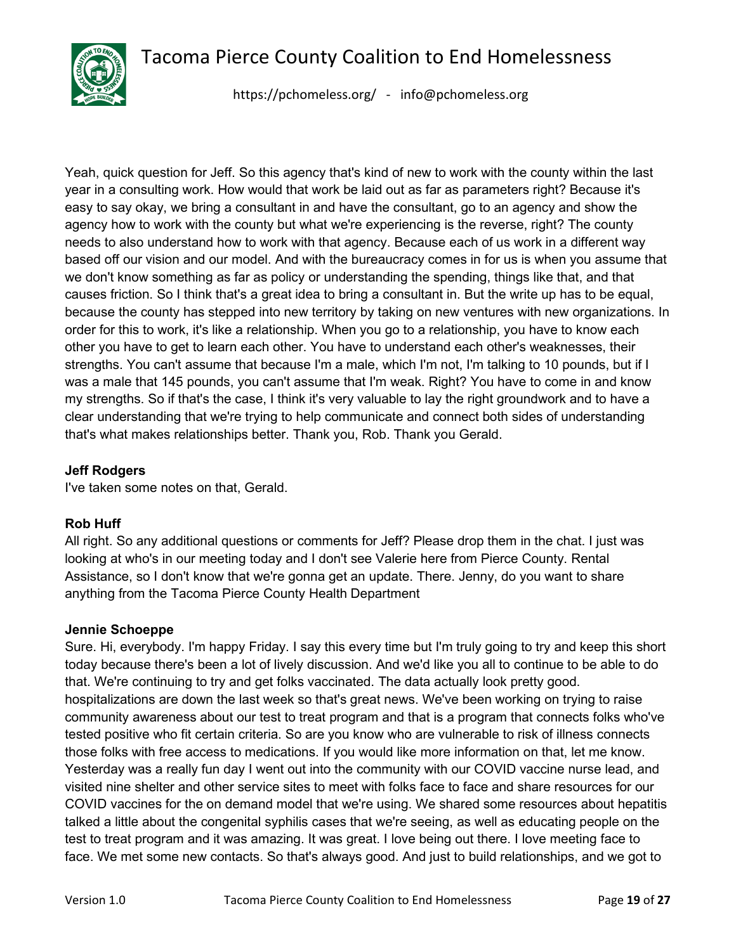

<https://pchomeless.org/> - info@pchomeless.org

Yeah, quick question for Jeff. So this agency that's kind of new to work with the county within the last year in a consulting work. How would that work be laid out as far as parameters right? Because it's easy to say okay, we bring a consultant in and have the consultant, go to an agency and show the agency how to work with the county but what we're experiencing is the reverse, right? The county needs to also understand how to work with that agency. Because each of us work in a different way based off our vision and our model. And with the bureaucracy comes in for us is when you assume that we don't know something as far as policy or understanding the spending, things like that, and that causes friction. So I think that's a great idea to bring a consultant in. But the write up has to be equal, because the county has stepped into new territory by taking on new ventures with new organizations. In order for this to work, it's like a relationship. When you go to a relationship, you have to know each other you have to get to learn each other. You have to understand each other's weaknesses, their strengths. You can't assume that because I'm a male, which I'm not, I'm talking to 10 pounds, but if I was a male that 145 pounds, you can't assume that I'm weak. Right? You have to come in and know my strengths. So if that's the case, I think it's very valuable to lay the right groundwork and to have a clear understanding that we're trying to help communicate and connect both sides of understanding that's what makes relationships better. Thank you, Rob. Thank you Gerald.

# **Jeff Rodgers**

I've taken some notes on that, Gerald.

#### **Rob Huff**

All right. So any additional questions or comments for Jeff? Please drop them in the chat. I just was looking at who's in our meeting today and I don't see Valerie here from Pierce County. Rental Assistance, so I don't know that we're gonna get an update. There. Jenny, do you want to share anything from the Tacoma Pierce County Health Department

#### **Jennie Schoeppe**

Sure. Hi, everybody. I'm happy Friday. I say this every time but I'm truly going to try and keep this short today because there's been a lot of lively discussion. And we'd like you all to continue to be able to do that. We're continuing to try and get folks vaccinated. The data actually look pretty good. hospitalizations are down the last week so that's great news. We've been working on trying to raise community awareness about our test to treat program and that is a program that connects folks who've tested positive who fit certain criteria. So are you know who are vulnerable to risk of illness connects those folks with free access to medications. If you would like more information on that, let me know. Yesterday was a really fun day I went out into the community with our COVID vaccine nurse lead, and visited nine shelter and other service sites to meet with folks face to face and share resources for our COVID vaccines for the on demand model that we're using. We shared some resources about hepatitis talked a little about the congenital syphilis cases that we're seeing, as well as educating people on the test to treat program and it was amazing. It was great. I love being out there. I love meeting face to face. We met some new contacts. So that's always good. And just to build relationships, and we got to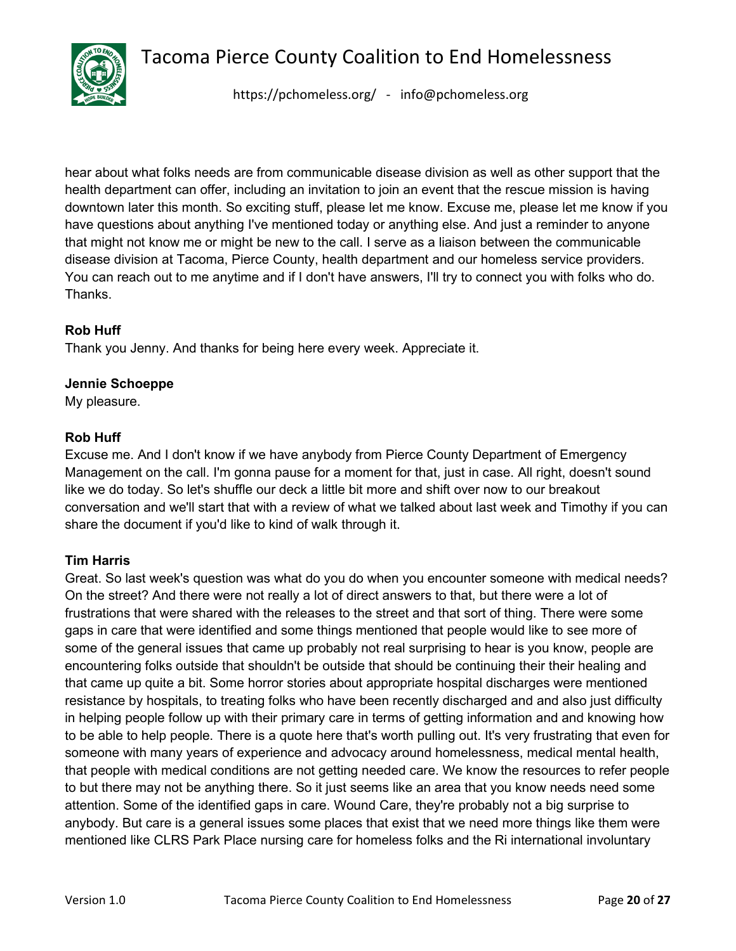

<https://pchomeless.org/> - info@pchomeless.org

hear about what folks needs are from communicable disease division as well as other support that the health department can offer, including an invitation to join an event that the rescue mission is having downtown later this month. So exciting stuff, please let me know. Excuse me, please let me know if you have questions about anything I've mentioned today or anything else. And just a reminder to anyone that might not know me or might be new to the call. I serve as a liaison between the communicable disease division at Tacoma, Pierce County, health department and our homeless service providers. You can reach out to me anytime and if I don't have answers, I'll try to connect you with folks who do. Thanks.

# **Rob Huff**

Thank you Jenny. And thanks for being here every week. Appreciate it.

#### **Jennie Schoeppe**

My pleasure.

#### **Rob Huff**

Excuse me. And I don't know if we have anybody from Pierce County Department of Emergency Management on the call. I'm gonna pause for a moment for that, just in case. All right, doesn't sound like we do today. So let's shuffle our deck a little bit more and shift over now to our breakout conversation and we'll start that with a review of what we talked about last week and Timothy if you can share the document if you'd like to kind of walk through it.

#### **Tim Harris**

Great. So last week's question was what do you do when you encounter someone with medical needs? On the street? And there were not really a lot of direct answers to that, but there were a lot of frustrations that were shared with the releases to the street and that sort of thing. There were some gaps in care that were identified and some things mentioned that people would like to see more of some of the general issues that came up probably not real surprising to hear is you know, people are encountering folks outside that shouldn't be outside that should be continuing their their healing and that came up quite a bit. Some horror stories about appropriate hospital discharges were mentioned resistance by hospitals, to treating folks who have been recently discharged and and also just difficulty in helping people follow up with their primary care in terms of getting information and and knowing how to be able to help people. There is a quote here that's worth pulling out. It's very frustrating that even for someone with many years of experience and advocacy around homelessness, medical mental health, that people with medical conditions are not getting needed care. We know the resources to refer people to but there may not be anything there. So it just seems like an area that you know needs need some attention. Some of the identified gaps in care. Wound Care, they're probably not a big surprise to anybody. But care is a general issues some places that exist that we need more things like them were mentioned like CLRS Park Place nursing care for homeless folks and the Ri international involuntary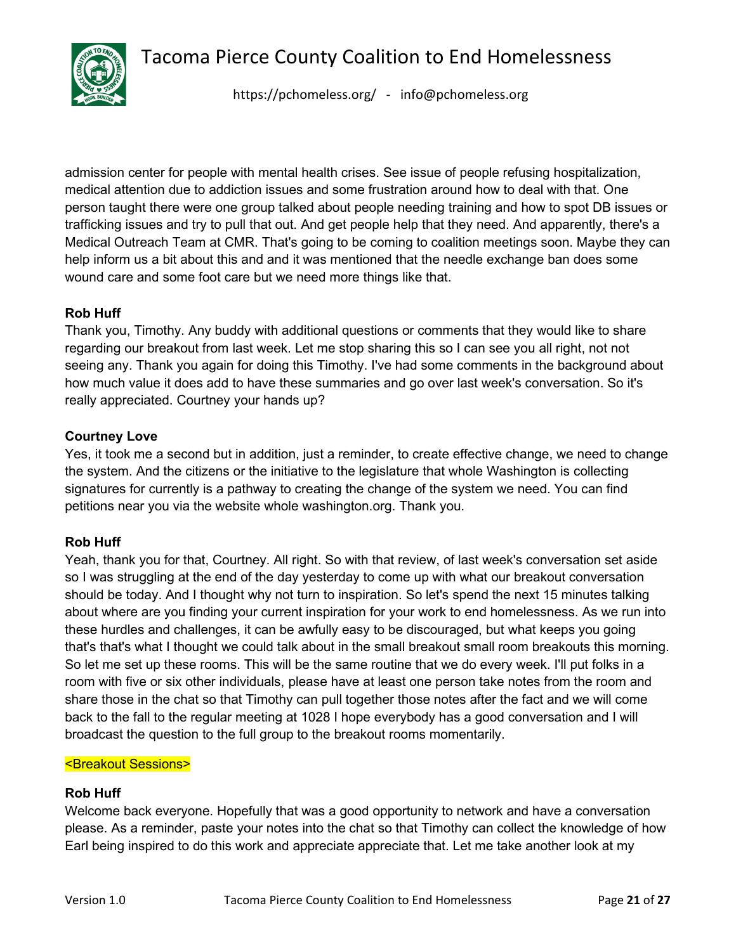

<https://pchomeless.org/> - info@pchomeless.org

admission center for people with mental health crises. See issue of people refusing hospitalization, medical attention due to addiction issues and some frustration around how to deal with that. One person taught there were one group talked about people needing training and how to spot DB issues or trafficking issues and try to pull that out. And get people help that they need. And apparently, there's a Medical Outreach Team at CMR. That's going to be coming to coalition meetings soon. Maybe they can help inform us a bit about this and and it was mentioned that the needle exchange ban does some wound care and some foot care but we need more things like that.

# **Rob Huff**

Thank you, Timothy. Any buddy with additional questions or comments that they would like to share regarding our breakout from last week. Let me stop sharing this so I can see you all right, not not seeing any. Thank you again for doing this Timothy. I've had some comments in the background about how much value it does add to have these summaries and go over last week's conversation. So it's really appreciated. Courtney your hands up?

#### **Courtney Love**

Yes, it took me a second but in addition, just a reminder, to create effective change, we need to change the system. And the citizens or the initiative to the legislature that whole Washington is collecting signatures for currently is a pathway to creating the change of the system we need. You can find petitions near you via the website whole washington.org. Thank you.

# **Rob Huff**

Yeah, thank you for that, Courtney. All right. So with that review, of last week's conversation set aside so I was struggling at the end of the day yesterday to come up with what our breakout conversation should be today. And I thought why not turn to inspiration. So let's spend the next 15 minutes talking about where are you finding your current inspiration for your work to end homelessness. As we run into these hurdles and challenges, it can be awfully easy to be discouraged, but what keeps you going that's that's what I thought we could talk about in the small breakout small room breakouts this morning. So let me set up these rooms. This will be the same routine that we do every week. I'll put folks in a room with five or six other individuals, please have at least one person take notes from the room and share those in the chat so that Timothy can pull together those notes after the fact and we will come back to the fall to the regular meeting at 1028 I hope everybody has a good conversation and I will broadcast the question to the full group to the breakout rooms momentarily.

#### <Breakout Sessions>

#### **Rob Huff**

Welcome back everyone. Hopefully that was a good opportunity to network and have a conversation please. As a reminder, paste your notes into the chat so that Timothy can collect the knowledge of how Earl being inspired to do this work and appreciate appreciate that. Let me take another look at my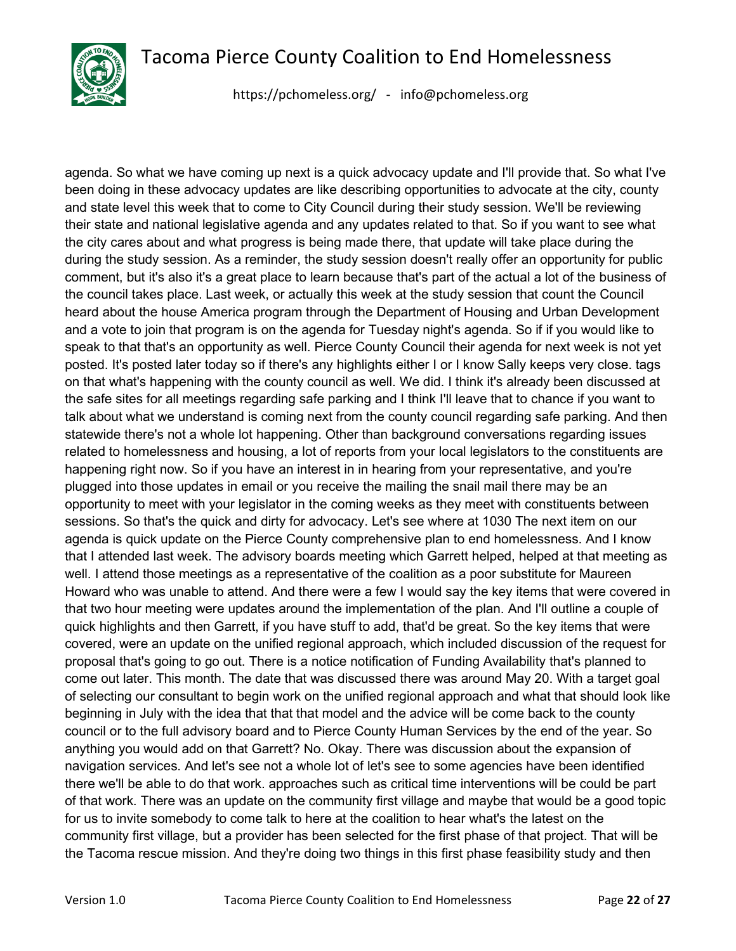

<https://pchomeless.org/> - info@pchomeless.org

agenda. So what we have coming up next is a quick advocacy update and I'll provide that. So what I've been doing in these advocacy updates are like describing opportunities to advocate at the city, county and state level this week that to come to City Council during their study session. We'll be reviewing their state and national legislative agenda and any updates related to that. So if you want to see what the city cares about and what progress is being made there, that update will take place during the during the study session. As a reminder, the study session doesn't really offer an opportunity for public comment, but it's also it's a great place to learn because that's part of the actual a lot of the business of the council takes place. Last week, or actually this week at the study session that count the Council heard about the house America program through the Department of Housing and Urban Development and a vote to join that program is on the agenda for Tuesday night's agenda. So if if you would like to speak to that that's an opportunity as well. Pierce County Council their agenda for next week is not yet posted. It's posted later today so if there's any highlights either I or I know Sally keeps very close. tags on that what's happening with the county council as well. We did. I think it's already been discussed at the safe sites for all meetings regarding safe parking and I think I'll leave that to chance if you want to talk about what we understand is coming next from the county council regarding safe parking. And then statewide there's not a whole lot happening. Other than background conversations regarding issues related to homelessness and housing, a lot of reports from your local legislators to the constituents are happening right now. So if you have an interest in in hearing from your representative, and you're plugged into those updates in email or you receive the mailing the snail mail there may be an opportunity to meet with your legislator in the coming weeks as they meet with constituents between sessions. So that's the quick and dirty for advocacy. Let's see where at 1030 The next item on our agenda is quick update on the Pierce County comprehensive plan to end homelessness. And I know that I attended last week. The advisory boards meeting which Garrett helped, helped at that meeting as well. I attend those meetings as a representative of the coalition as a poor substitute for Maureen Howard who was unable to attend. And there were a few I would say the key items that were covered in that two hour meeting were updates around the implementation of the plan. And I'll outline a couple of quick highlights and then Garrett, if you have stuff to add, that'd be great. So the key items that were covered, were an update on the unified regional approach, which included discussion of the request for proposal that's going to go out. There is a notice notification of Funding Availability that's planned to come out later. This month. The date that was discussed there was around May 20. With a target goal of selecting our consultant to begin work on the unified regional approach and what that should look like beginning in July with the idea that that that model and the advice will be come back to the county council or to the full advisory board and to Pierce County Human Services by the end of the year. So anything you would add on that Garrett? No. Okay. There was discussion about the expansion of navigation services. And let's see not a whole lot of let's see to some agencies have been identified there we'll be able to do that work. approaches such as critical time interventions will be could be part of that work. There was an update on the community first village and maybe that would be a good topic for us to invite somebody to come talk to here at the coalition to hear what's the latest on the community first village, but a provider has been selected for the first phase of that project. That will be the Tacoma rescue mission. And they're doing two things in this first phase feasibility study and then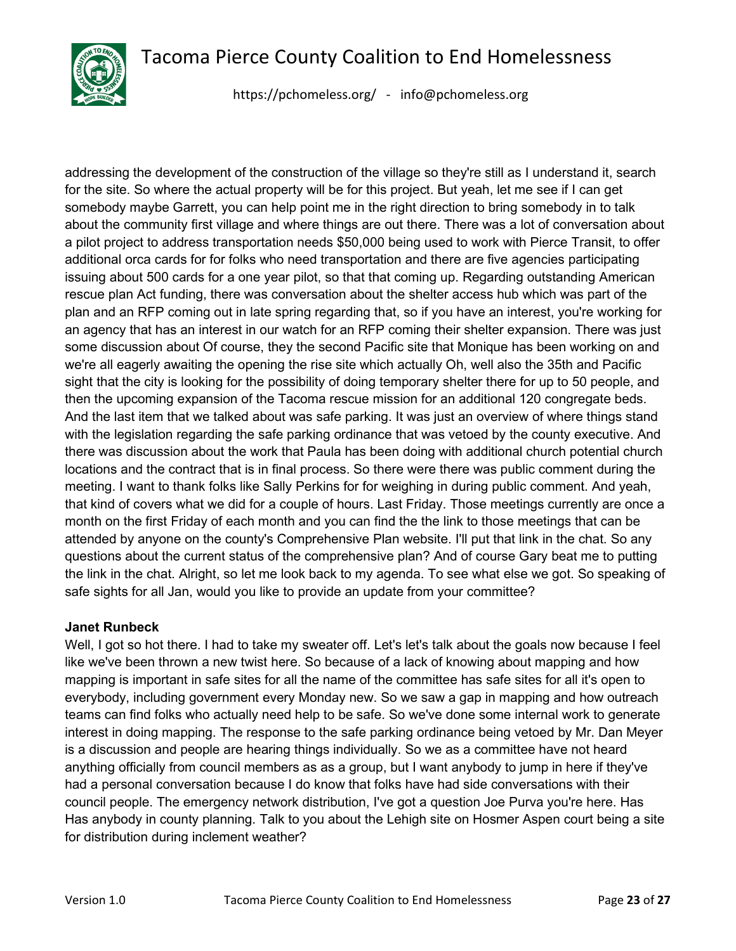

<https://pchomeless.org/> - info@pchomeless.org

addressing the development of the construction of the village so they're still as I understand it, search for the site. So where the actual property will be for this project. But yeah, let me see if I can get somebody maybe Garrett, you can help point me in the right direction to bring somebody in to talk about the community first village and where things are out there. There was a lot of conversation about a pilot project to address transportation needs \$50,000 being used to work with Pierce Transit, to offer additional orca cards for for folks who need transportation and there are five agencies participating issuing about 500 cards for a one year pilot, so that that coming up. Regarding outstanding American rescue plan Act funding, there was conversation about the shelter access hub which was part of the plan and an RFP coming out in late spring regarding that, so if you have an interest, you're working for an agency that has an interest in our watch for an RFP coming their shelter expansion. There was just some discussion about Of course, they the second Pacific site that Monique has been working on and we're all eagerly awaiting the opening the rise site which actually Oh, well also the 35th and Pacific sight that the city is looking for the possibility of doing temporary shelter there for up to 50 people, and then the upcoming expansion of the Tacoma rescue mission for an additional 120 congregate beds. And the last item that we talked about was safe parking. It was just an overview of where things stand with the legislation regarding the safe parking ordinance that was vetoed by the county executive. And there was discussion about the work that Paula has been doing with additional church potential church locations and the contract that is in final process. So there were there was public comment during the meeting. I want to thank folks like Sally Perkins for for weighing in during public comment. And yeah, that kind of covers what we did for a couple of hours. Last Friday. Those meetings currently are once a month on the first Friday of each month and you can find the the link to those meetings that can be attended by anyone on the county's Comprehensive Plan website. I'll put that link in the chat. So any questions about the current status of the comprehensive plan? And of course Gary beat me to putting the link in the chat. Alright, so let me look back to my agenda. To see what else we got. So speaking of safe sights for all Jan, would you like to provide an update from your committee?

# **Janet Runbeck**

Well, I got so hot there. I had to take my sweater off. Let's let's talk about the goals now because I feel like we've been thrown a new twist here. So because of a lack of knowing about mapping and how mapping is important in safe sites for all the name of the committee has safe sites for all it's open to everybody, including government every Monday new. So we saw a gap in mapping and how outreach teams can find folks who actually need help to be safe. So we've done some internal work to generate interest in doing mapping. The response to the safe parking ordinance being vetoed by Mr. Dan Meyer is a discussion and people are hearing things individually. So we as a committee have not heard anything officially from council members as as a group, but I want anybody to jump in here if they've had a personal conversation because I do know that folks have had side conversations with their council people. The emergency network distribution, I've got a question Joe Purva you're here. Has Has anybody in county planning. Talk to you about the Lehigh site on Hosmer Aspen court being a site for distribution during inclement weather?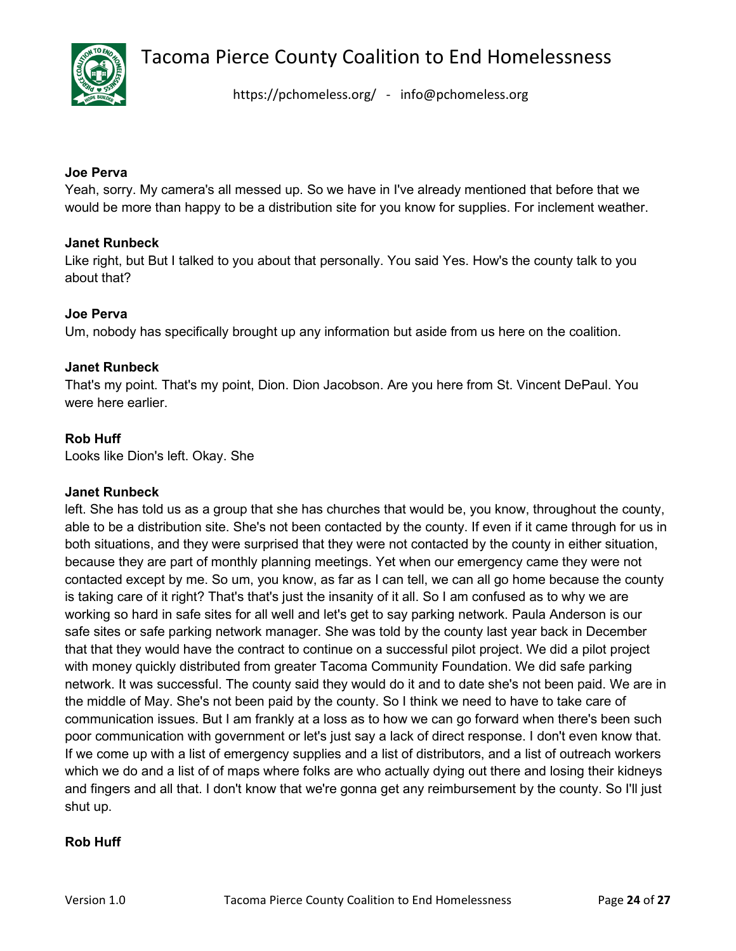

<https://pchomeless.org/> - info@pchomeless.org

#### **Joe Perva**

Yeah, sorry. My camera's all messed up. So we have in I've already mentioned that before that we would be more than happy to be a distribution site for you know for supplies. For inclement weather.

#### **Janet Runbeck**

Like right, but But I talked to you about that personally. You said Yes. How's the county talk to you about that?

#### **Joe Perva**

Um, nobody has specifically brought up any information but aside from us here on the coalition.

#### **Janet Runbeck**

That's my point. That's my point, Dion. Dion Jacobson. Are you here from St. Vincent DePaul. You were here earlier.

#### **Rob Huff**

Looks like Dion's left. Okay. She

#### **Janet Runbeck**

left. She has told us as a group that she has churches that would be, you know, throughout the county, able to be a distribution site. She's not been contacted by the county. If even if it came through for us in both situations, and they were surprised that they were not contacted by the county in either situation, because they are part of monthly planning meetings. Yet when our emergency came they were not contacted except by me. So um, you know, as far as I can tell, we can all go home because the county is taking care of it right? That's that's just the insanity of it all. So I am confused as to why we are working so hard in safe sites for all well and let's get to say parking network. Paula Anderson is our safe sites or safe parking network manager. She was told by the county last year back in December that that they would have the contract to continue on a successful pilot project. We did a pilot project with money quickly distributed from greater Tacoma Community Foundation. We did safe parking network. It was successful. The county said they would do it and to date she's not been paid. We are in the middle of May. She's not been paid by the county. So I think we need to have to take care of communication issues. But I am frankly at a loss as to how we can go forward when there's been such poor communication with government or let's just say a lack of direct response. I don't even know that. If we come up with a list of emergency supplies and a list of distributors, and a list of outreach workers which we do and a list of of maps where folks are who actually dying out there and losing their kidneys and fingers and all that. I don't know that we're gonna get any reimbursement by the county. So I'll just shut up.

#### **Rob Huff**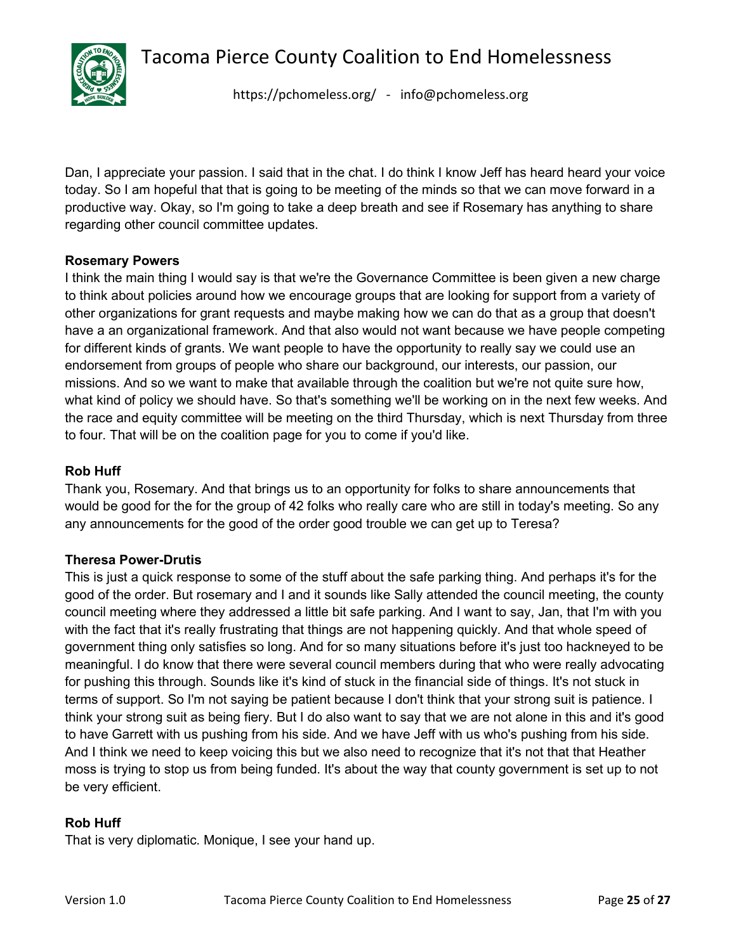

<https://pchomeless.org/> - info@pchomeless.org

Dan, I appreciate your passion. I said that in the chat. I do think I know Jeff has heard heard your voice today. So I am hopeful that that is going to be meeting of the minds so that we can move forward in a productive way. Okay, so I'm going to take a deep breath and see if Rosemary has anything to share regarding other council committee updates.

# **Rosemary Powers**

I think the main thing I would say is that we're the Governance Committee is been given a new charge to think about policies around how we encourage groups that are looking for support from a variety of other organizations for grant requests and maybe making how we can do that as a group that doesn't have a an organizational framework. And that also would not want because we have people competing for different kinds of grants. We want people to have the opportunity to really say we could use an endorsement from groups of people who share our background, our interests, our passion, our missions. And so we want to make that available through the coalition but we're not quite sure how, what kind of policy we should have. So that's something we'll be working on in the next few weeks. And the race and equity committee will be meeting on the third Thursday, which is next Thursday from three to four. That will be on the coalition page for you to come if you'd like.

# **Rob Huff**

Thank you, Rosemary. And that brings us to an opportunity for folks to share announcements that would be good for the for the group of 42 folks who really care who are still in today's meeting. So any any announcements for the good of the order good trouble we can get up to Teresa?

#### **Theresa Power-Drutis**

This is just a quick response to some of the stuff about the safe parking thing. And perhaps it's for the good of the order. But rosemary and I and it sounds like Sally attended the council meeting, the county council meeting where they addressed a little bit safe parking. And I want to say, Jan, that I'm with you with the fact that it's really frustrating that things are not happening quickly. And that whole speed of government thing only satisfies so long. And for so many situations before it's just too hackneyed to be meaningful. I do know that there were several council members during that who were really advocating for pushing this through. Sounds like it's kind of stuck in the financial side of things. It's not stuck in terms of support. So I'm not saying be patient because I don't think that your strong suit is patience. I think your strong suit as being fiery. But I do also want to say that we are not alone in this and it's good to have Garrett with us pushing from his side. And we have Jeff with us who's pushing from his side. And I think we need to keep voicing this but we also need to recognize that it's not that that Heather moss is trying to stop us from being funded. It's about the way that county government is set up to not be very efficient.

#### **Rob Huff**

That is very diplomatic. Monique, I see your hand up.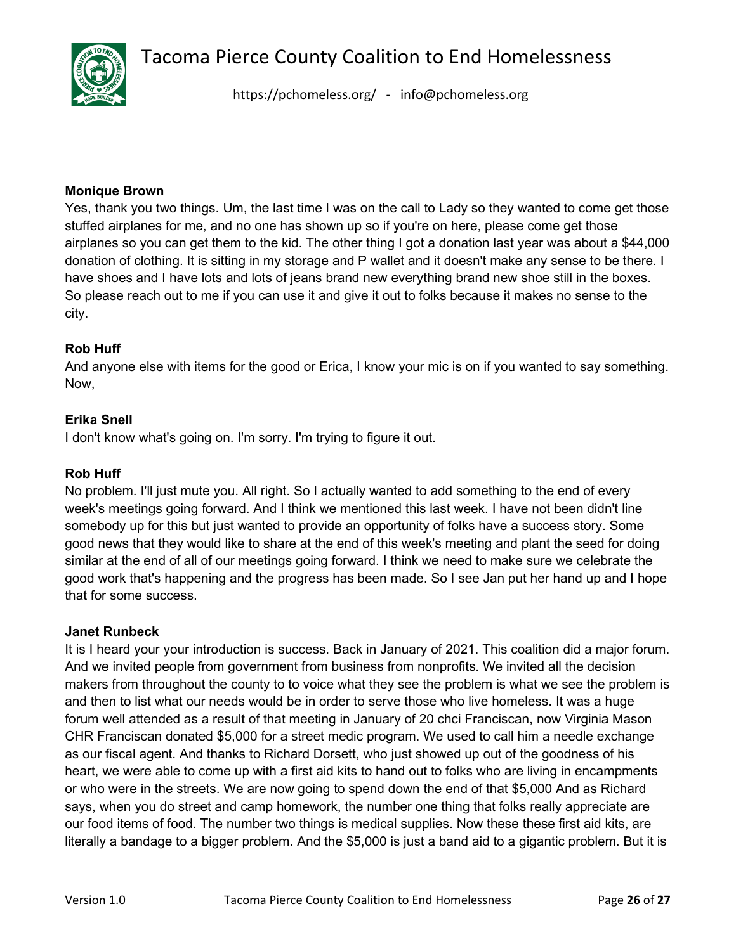

<https://pchomeless.org/> - info@pchomeless.org

#### **Monique Brown**

Yes, thank you two things. Um, the last time I was on the call to Lady so they wanted to come get those stuffed airplanes for me, and no one has shown up so if you're on here, please come get those airplanes so you can get them to the kid. The other thing I got a donation last year was about a \$44,000 donation of clothing. It is sitting in my storage and P wallet and it doesn't make any sense to be there. I have shoes and I have lots and lots of jeans brand new everything brand new shoe still in the boxes. So please reach out to me if you can use it and give it out to folks because it makes no sense to the city.

#### **Rob Huff**

And anyone else with items for the good or Erica, I know your mic is on if you wanted to say something. Now,

#### **Erika Snell**

I don't know what's going on. I'm sorry. I'm trying to figure it out.

#### **Rob Huff**

No problem. I'll just mute you. All right. So I actually wanted to add something to the end of every week's meetings going forward. And I think we mentioned this last week. I have not been didn't line somebody up for this but just wanted to provide an opportunity of folks have a success story. Some good news that they would like to share at the end of this week's meeting and plant the seed for doing similar at the end of all of our meetings going forward. I think we need to make sure we celebrate the good work that's happening and the progress has been made. So I see Jan put her hand up and I hope that for some success.

#### **Janet Runbeck**

It is I heard your your introduction is success. Back in January of 2021. This coalition did a major forum. And we invited people from government from business from nonprofits. We invited all the decision makers from throughout the county to to voice what they see the problem is what we see the problem is and then to list what our needs would be in order to serve those who live homeless. It was a huge forum well attended as a result of that meeting in January of 20 chci Franciscan, now Virginia Mason CHR Franciscan donated \$5,000 for a street medic program. We used to call him a needle exchange as our fiscal agent. And thanks to Richard Dorsett, who just showed up out of the goodness of his heart, we were able to come up with a first aid kits to hand out to folks who are living in encampments or who were in the streets. We are now going to spend down the end of that \$5,000 And as Richard says, when you do street and camp homework, the number one thing that folks really appreciate are our food items of food. The number two things is medical supplies. Now these these first aid kits, are literally a bandage to a bigger problem. And the \$5,000 is just a band aid to a gigantic problem. But it is